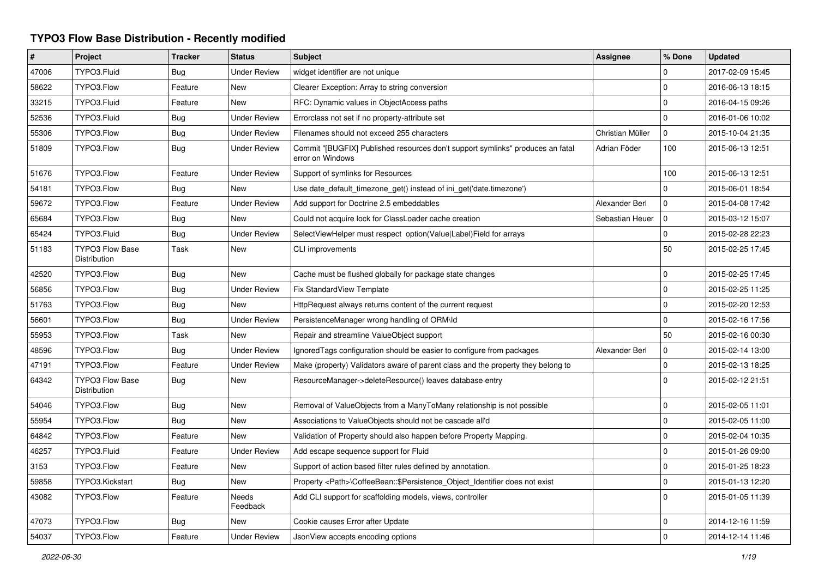## **TYPO3 Flow Base Distribution - Recently modified**

| $\#$  | Project                                | <b>Tracker</b> | <b>Status</b>            | <b>Subject</b>                                                                                     | Assignee         | % Done              | <b>Updated</b>   |
|-------|----------------------------------------|----------------|--------------------------|----------------------------------------------------------------------------------------------------|------------------|---------------------|------------------|
| 47006 | TYPO3.Fluid                            | Bug            | <b>Under Review</b>      | widget identifier are not unique                                                                   |                  | 0                   | 2017-02-09 15:45 |
| 58622 | TYPO3.Flow                             | Feature        | <b>New</b>               | Clearer Exception: Array to string conversion                                                      |                  | $\mathbf 0$         | 2016-06-13 18:15 |
| 33215 | TYPO3.Fluid                            | Feature        | <b>New</b>               | RFC: Dynamic values in ObjectAccess paths                                                          |                  | $\mathbf 0$         | 2016-04-15 09:26 |
| 52536 | TYPO3.Fluid                            | <b>Bug</b>     | <b>Under Review</b>      | Errorclass not set if no property-attribute set                                                    |                  | $\mathbf 0$         | 2016-01-06 10:02 |
| 55306 | TYPO3.Flow                             | <b>Bug</b>     | <b>Under Review</b>      | Filenames should not exceed 255 characters                                                         | Christian Müller | $\mathbf 0$         | 2015-10-04 21:35 |
| 51809 | TYPO3.Flow                             | <b>Bug</b>     | <b>Under Review</b>      | Commit "[BUGFIX] Published resources don't support symlinks" produces an fatal<br>error on Windows | Adrian Föder     | 100                 | 2015-06-13 12:51 |
| 51676 | TYPO3.Flow                             | Feature        | <b>Under Review</b>      | Support of symlinks for Resources                                                                  |                  | 100                 | 2015-06-13 12:51 |
| 54181 | TYPO3.Flow                             | Bug            | <b>New</b>               | Use date_default_timezone_get() instead of ini_get('date.timezone')                                |                  | 0                   | 2015-06-01 18:54 |
| 59672 | TYPO3.Flow                             | Feature        | <b>Under Review</b>      | Add support for Doctrine 2.5 embeddables                                                           | Alexander Berl   | $\mathbf 0$         | 2015-04-08 17:42 |
| 65684 | TYPO3.Flow                             | Bug            | <b>New</b>               | Could not acquire lock for ClassLoader cache creation                                              | Sebastian Heuer  | $\Omega$            | 2015-03-12 15:07 |
| 65424 | TYPO3.Fluid                            | <b>Bug</b>     | <b>Under Review</b>      | SelectViewHelper must respect option(Value Label)Field for arrays                                  |                  | $\mathbf 0$         | 2015-02-28 22:23 |
| 51183 | <b>TYPO3 Flow Base</b><br>Distribution | Task           | <b>New</b>               | CLI improvements                                                                                   |                  | 50                  | 2015-02-25 17:45 |
| 42520 | TYPO3.Flow                             | <b>Bug</b>     | <b>New</b>               | Cache must be flushed globally for package state changes                                           |                  | $\mathbf 0$         | 2015-02-25 17:45 |
| 56856 | TYPO3.Flow                             | <b>Bug</b>     | <b>Under Review</b>      | Fix StandardView Template                                                                          |                  | $\mathbf 0$         | 2015-02-25 11:25 |
| 51763 | TYPO3.Flow                             | Bug            | <b>New</b>               | HttpRequest always returns content of the current request                                          |                  | $\mathbf{0}$        | 2015-02-20 12:53 |
| 56601 | TYPO3.Flow                             | Bug            | <b>Under Review</b>      | PersistenceManager wrong handling of ORM\ld                                                        |                  | $\mathbf 0$         | 2015-02-16 17:56 |
| 55953 | TYPO3.Flow                             | Task           | New                      | Repair and streamline ValueObject support                                                          |                  | 50                  | 2015-02-16 00:30 |
| 48596 | TYPO3.Flow                             | Bug            | <b>Under Review</b>      | Ignored Tags configuration should be easier to configure from packages                             | Alexander Berl   | $\mathbf 0$         | 2015-02-14 13:00 |
| 47191 | TYPO3.Flow                             | Feature        | <b>Under Review</b>      | Make (property) Validators aware of parent class and the property they belong to                   |                  | $\mathbf 0$         | 2015-02-13 18:25 |
| 64342 | <b>TYPO3 Flow Base</b><br>Distribution | Bug            | New                      | ResourceManager->deleteResource() leaves database entry                                            |                  | $\mathbf 0$         | 2015-02-12 21:51 |
| 54046 | TYPO3.Flow                             | Bug            | <b>New</b>               | Removal of ValueObjects from a ManyToMany relationship is not possible                             |                  | $\mathbf 0$         | 2015-02-05 11:01 |
| 55954 | TYPO3.Flow                             | Bug            | New                      | Associations to ValueObjects should not be cascade all'd                                           |                  | 0                   | 2015-02-05 11:00 |
| 64842 | TYPO3.Flow                             | Feature        | <b>New</b>               | Validation of Property should also happen before Property Mapping.                                 |                  | 0                   | 2015-02-04 10:35 |
| 46257 | TYPO3.Fluid                            | Feature        | <b>Under Review</b>      | Add escape sequence support for Fluid                                                              |                  | $\pmb{0}$           | 2015-01-26 09:00 |
| 3153  | TYPO3.Flow                             | Feature        | <b>New</b>               | Support of action based filter rules defined by annotation.                                        |                  | $\mathsf{O}\xspace$ | 2015-01-25 18:23 |
| 59858 | TYPO3.Kickstart                        | <b>Bug</b>     | <b>New</b>               | Property <path>\CoffeeBean::\$Persistence_Object_Identifier does not exist</path>                  |                  | $\mathbf 0$         | 2015-01-13 12:20 |
| 43082 | TYPO3.Flow                             | Feature        | <b>Needs</b><br>Feedback | Add CLI support for scaffolding models, views, controller                                          |                  | $\Omega$            | 2015-01-05 11:39 |
| 47073 | TYPO3.Flow                             | Bug            | <b>New</b>               | Cookie causes Error after Update                                                                   |                  | 0                   | 2014-12-16 11:59 |
| 54037 | TYPO3.Flow                             | Feature        | <b>Under Review</b>      | JsonView accepts encoding options                                                                  |                  | $\Omega$            | 2014-12-14 11:46 |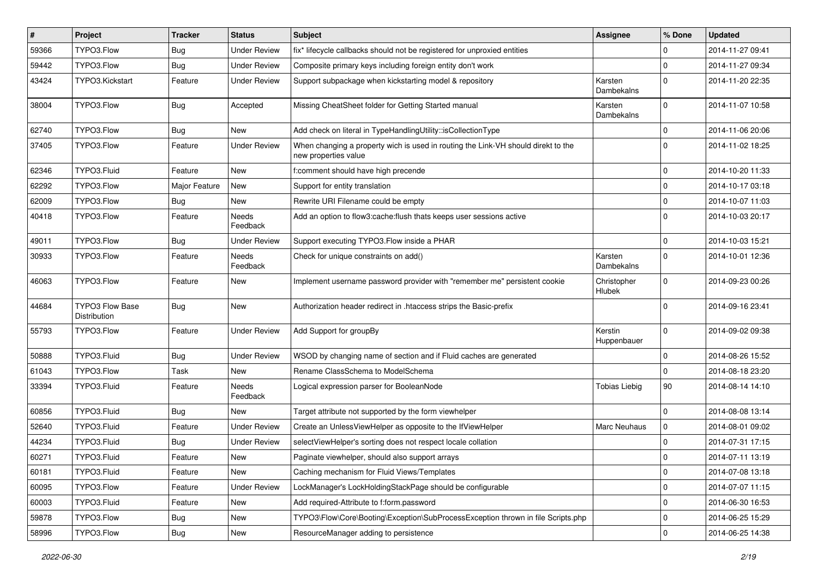| #     | Project                                | <b>Tracker</b> | <b>Status</b>            | Subject                                                                                                   | <b>Assignee</b>              | % Done      | <b>Updated</b>   |
|-------|----------------------------------------|----------------|--------------------------|-----------------------------------------------------------------------------------------------------------|------------------------------|-------------|------------------|
| 59366 | TYPO3.Flow                             | <b>Bug</b>     | <b>Under Review</b>      | fix* lifecycle callbacks should not be registered for unproxied entities                                  |                              | 0           | 2014-11-27 09:41 |
| 59442 | TYPO3.Flow                             | <b>Bug</b>     | <b>Under Review</b>      | Composite primary keys including foreign entity don't work                                                |                              | 0           | 2014-11-27 09:34 |
| 43424 | TYPO3.Kickstart                        | Feature        | <b>Under Review</b>      | Support subpackage when kickstarting model & repository                                                   | Karsten<br>Dambekalns        | $\Omega$    | 2014-11-20 22:35 |
| 38004 | TYPO3.Flow                             | <b>Bug</b>     | Accepted                 | Missing CheatSheet folder for Getting Started manual                                                      | Karsten<br>Dambekalns        | $\Omega$    | 2014-11-07 10:58 |
| 62740 | TYPO3.Flow                             | <b>Bug</b>     | New                      | Add check on literal in TypeHandlingUtility::isCollectionType                                             |                              | $\mathbf 0$ | 2014-11-06 20:06 |
| 37405 | TYPO3.Flow                             | Feature        | <b>Under Review</b>      | When changing a property wich is used in routing the Link-VH should direkt to the<br>new properties value |                              | $\Omega$    | 2014-11-02 18:25 |
| 62346 | TYPO3.Fluid                            | Feature        | <b>New</b>               | f:comment should have high precende                                                                       |                              | $\mathbf 0$ | 2014-10-20 11:33 |
| 62292 | TYPO3.Flow                             | Major Feature  | New                      | Support for entity translation                                                                            |                              | $\mathbf 0$ | 2014-10-17 03:18 |
| 62009 | TYPO3.Flow                             | Bug            | New                      | Rewrite URI Filename could be empty                                                                       |                              | $\mathbf 0$ | 2014-10-07 11:03 |
| 40418 | TYPO3.Flow                             | Feature        | Needs<br>Feedback        | Add an option to flow3:cache: flush thats keeps user sessions active                                      |                              | $\Omega$    | 2014-10-03 20:17 |
| 49011 | TYPO3.Flow                             | <b>Bug</b>     | <b>Under Review</b>      | Support executing TYPO3. Flow inside a PHAR                                                               |                              | $\mathbf 0$ | 2014-10-03 15:21 |
| 30933 | TYPO3.Flow                             | Feature        | Needs<br>Feedback        | Check for unique constraints on add()                                                                     | Karsten<br>Dambekalns        | $\Omega$    | 2014-10-01 12:36 |
| 46063 | TYPO3.Flow                             | Feature        | New                      | Implement username password provider with "remember me" persistent cookie                                 | Christopher<br><b>Hlubek</b> | $\Omega$    | 2014-09-23 00:26 |
| 44684 | <b>TYPO3 Flow Base</b><br>Distribution | <b>Bug</b>     | New                      | Authorization header redirect in .htaccess strips the Basic-prefix                                        |                              | $\Omega$    | 2014-09-16 23:41 |
| 55793 | TYPO3.Flow                             | Feature        | <b>Under Review</b>      | Add Support for groupBy                                                                                   | Kerstin<br>Huppenbauer       | $\Omega$    | 2014-09-02 09:38 |
| 50888 | TYPO3.Fluid                            | <b>Bug</b>     | <b>Under Review</b>      | WSOD by changing name of section and if Fluid caches are generated                                        |                              | $\mathbf 0$ | 2014-08-26 15:52 |
| 61043 | TYPO3.Flow                             | Task           | New                      | Rename ClassSchema to ModelSchema                                                                         |                              | $\mathbf 0$ | 2014-08-18 23:20 |
| 33394 | TYPO3.Fluid                            | Feature        | <b>Needs</b><br>Feedback | Logical expression parser for BooleanNode                                                                 | <b>Tobias Liebig</b>         | 90          | 2014-08-14 14:10 |
| 60856 | TYPO3.Fluid                            | <b>Bug</b>     | New                      | Target attribute not supported by the form viewhelper                                                     |                              | $\mathbf 0$ | 2014-08-08 13:14 |
| 52640 | TYPO3.Fluid                            | Feature        | <b>Under Review</b>      | Create an UnlessViewHelper as opposite to the IfViewHelper                                                | <b>Marc Neuhaus</b>          | 0           | 2014-08-01 09:02 |
| 44234 | TYPO3.Fluid                            | <b>Bug</b>     | <b>Under Review</b>      | selectViewHelper's sorting does not respect locale collation                                              |                              | $\Omega$    | 2014-07-31 17:15 |
| 60271 | TYPO3.Fluid                            | Feature        | New                      | Paginate viewhelper, should also support arrays                                                           |                              | 0           | 2014-07-11 13:19 |
| 60181 | TYPO3.Fluid                            | Feature        | New                      | Caching mechanism for Fluid Views/Templates                                                               |                              | $\mathbf 0$ | 2014-07-08 13:18 |
| 60095 | TYPO3.Flow                             | Feature        | <b>Under Review</b>      | LockManager's LockHoldingStackPage should be configurable                                                 |                              | $\mathbf 0$ | 2014-07-07 11:15 |
| 60003 | TYPO3.Fluid                            | Feature        | New                      | Add required-Attribute to f:form.password                                                                 |                              | $\mathbf 0$ | 2014-06-30 16:53 |
| 59878 | TYPO3.Flow                             | <b>Bug</b>     | New                      | TYPO3\Flow\Core\Booting\Exception\SubProcessException thrown in file Scripts.php                          |                              | 0           | 2014-06-25 15:29 |
| 58996 | TYPO3.Flow                             | Bug            | New                      | ResourceManager adding to persistence                                                                     |                              | $\mathsf 0$ | 2014-06-25 14:38 |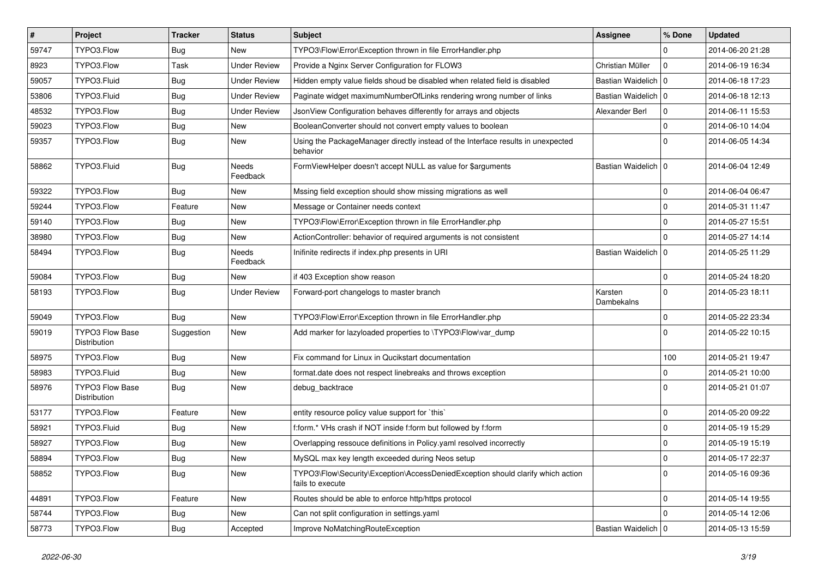| $\vert$ # | Project                                | <b>Tracker</b> | <b>Status</b>       | <b>Subject</b>                                                                                      | <b>Assignee</b>       | % Done         | <b>Updated</b>   |
|-----------|----------------------------------------|----------------|---------------------|-----------------------------------------------------------------------------------------------------|-----------------------|----------------|------------------|
| 59747     | TYPO3.Flow                             | Bug            | New                 | TYPO3\Flow\Error\Exception thrown in file ErrorHandler.php                                          |                       | $\Omega$       | 2014-06-20 21:28 |
| 8923      | TYPO3.Flow                             | Task           | <b>Under Review</b> | Provide a Nginx Server Configuration for FLOW3                                                      | Christian Müller      | 0 I            | 2014-06-19 16:34 |
| 59057     | TYPO3.Fluid                            | <b>Bug</b>     | <b>Under Review</b> | Hidden empty value fields shoud be disabled when related field is disabled                          | Bastian Waidelich   0 |                | 2014-06-18 17:23 |
| 53806     | TYPO3.Fluid                            | Bug            | <b>Under Review</b> | Paginate widget maximumNumberOfLinks rendering wrong number of links                                | Bastian Waidelich   0 |                | 2014-06-18 12:13 |
| 48532     | TYPO3.Flow                             | <b>Bug</b>     | <b>Under Review</b> | JsonView Configuration behaves differently for arrays and objects                                   | Alexander Berl        | 0              | 2014-06-11 15:53 |
| 59023     | TYPO3.Flow                             | <b>Bug</b>     | New                 | BooleanConverter should not convert empty values to boolean                                         |                       | $\Omega$       | 2014-06-10 14:04 |
| 59357     | TYPO3.Flow                             | <b>Bug</b>     | New                 | Using the PackageManager directly instead of the Interface results in unexpected<br>behavior        |                       | $\Omega$       | 2014-06-05 14:34 |
| 58862     | TYPO3.Fluid                            | <b>Bug</b>     | Needs<br>Feedback   | FormViewHelper doesn't accept NULL as value for \$arguments                                         | Bastian Waidelich   0 |                | 2014-06-04 12:49 |
| 59322     | TYPO3.Flow                             | <b>Bug</b>     | New                 | Mssing field exception should show missing migrations as well                                       |                       | $\mathbf 0$    | 2014-06-04 06:47 |
| 59244     | TYPO3.Flow                             | Feature        | New                 | Message or Container needs context                                                                  |                       | $\Omega$       | 2014-05-31 11:47 |
| 59140     | TYPO3.Flow                             | Bug            | New                 | TYPO3\Flow\Error\Exception thrown in file ErrorHandler.php                                          |                       | $\Omega$       | 2014-05-27 15:51 |
| 38980     | TYPO3.Flow                             | <b>Bug</b>     | New                 | ActionController: behavior of required arguments is not consistent                                  |                       | $\Omega$       | 2014-05-27 14:14 |
| 58494     | TYPO3.Flow                             | <b>Bug</b>     | Needs<br>Feedback   | Inifinite redirects if index.php presents in URI                                                    | Bastian Waidelich   0 |                | 2014-05-25 11:29 |
| 59084     | TYPO3.Flow                             | <b>Bug</b>     | New                 | if 403 Exception show reason                                                                        |                       | $\Omega$       | 2014-05-24 18:20 |
| 58193     | TYPO3.Flow                             | <b>Bug</b>     | <b>Under Review</b> | Forward-port changelogs to master branch                                                            | Karsten<br>Dambekalns | $\overline{0}$ | 2014-05-23 18:11 |
| 59049     | TYPO3.Flow                             | <b>Bug</b>     | New                 | TYPO3\Flow\Error\Exception thrown in file ErrorHandler.php                                          |                       | $\Omega$       | 2014-05-22 23:34 |
| 59019     | <b>TYPO3 Flow Base</b><br>Distribution | Suggestion     | New                 | Add marker for lazyloaded properties to \TYPO3\Flow\var_dump                                        |                       | $\Omega$       | 2014-05-22 10:15 |
| 58975     | TYPO3.Flow                             | <b>Bug</b>     | New                 | Fix command for Linux in Qucikstart documentation                                                   |                       | 100            | 2014-05-21 19:47 |
| 58983     | TYPO3.Fluid                            | Bug            | New                 | format.date does not respect linebreaks and throws exception                                        |                       | $\Omega$       | 2014-05-21 10:00 |
| 58976     | <b>TYPO3 Flow Base</b><br>Distribution | <b>Bug</b>     | New                 | debug backtrace                                                                                     |                       | $\Omega$       | 2014-05-21 01:07 |
| 53177     | TYPO3.Flow                             | Feature        | New                 | entity resource policy value support for `this`                                                     |                       | $\mathbf 0$    | 2014-05-20 09:22 |
| 58921     | TYPO3.Fluid                            | <b>Bug</b>     | New                 | f:form.* VHs crash if NOT inside f:form but followed by f:form                                      |                       | $\Omega$       | 2014-05-19 15:29 |
| 58927     | TYPO3.Flow                             | <b>Bug</b>     | New                 | Overlapping ressouce definitions in Policy.yaml resolved incorrectly                                |                       | $\Omega$       | 2014-05-19 15:19 |
| 58894     | TYPO3.Flow                             | Bug            | New                 | MySQL max key length exceeded during Neos setup                                                     |                       | l O            | 2014-05-17 22:37 |
| 58852     | TYPO3.Flow                             | <b>Bug</b>     | New                 | TYPO3\Flow\Security\Exception\AccessDeniedException should clarify which action<br>fails to execute |                       | 0 I            | 2014-05-16 09:36 |
| 44891     | TYPO3.Flow                             | Feature        | New                 | Routes should be able to enforce http/https protocol                                                |                       | $\mathbf 0$    | 2014-05-14 19:55 |
| 58744     | TYPO3.Flow                             | Bug            | New                 | Can not split configuration in settings.yaml                                                        |                       | $\Omega$       | 2014-05-14 12:06 |
| 58773     | TYPO3.Flow                             | <b>Bug</b>     | Accepted            | Improve NoMatchingRouteException                                                                    | Bastian Waidelich   0 |                | 2014-05-13 15:59 |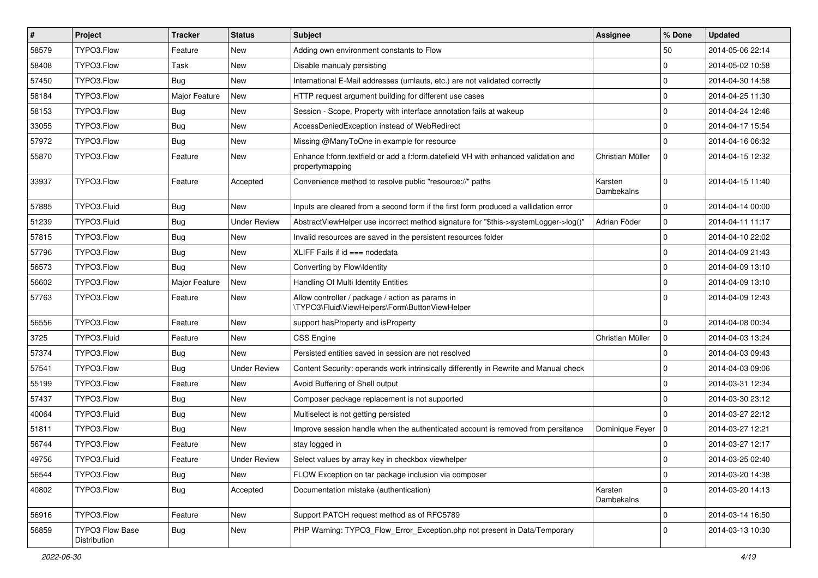| $\pmb{\#}$ | <b>Project</b>                  | <b>Tracker</b> | <b>Status</b>       | Subject                                                                                               | <b>Assignee</b>       | % Done         | <b>Updated</b>   |
|------------|---------------------------------|----------------|---------------------|-------------------------------------------------------------------------------------------------------|-----------------------|----------------|------------------|
| 58579      | TYPO3.Flow                      | Feature        | New                 | Adding own environment constants to Flow                                                              |                       | 50             | 2014-05-06 22:14 |
| 58408      | TYPO3.Flow                      | Task           | <b>New</b>          | Disable manualy persisting                                                                            |                       | $\mathbf 0$    | 2014-05-02 10:58 |
| 57450      | TYPO3.Flow                      | Bug            | New                 | International E-Mail addresses (umlauts, etc.) are not validated correctly                            |                       | $\Omega$       | 2014-04-30 14:58 |
| 58184      | TYPO3.Flow                      | Major Feature  | <b>New</b>          | HTTP request argument building for different use cases                                                |                       | $\mathbf 0$    | 2014-04-25 11:30 |
| 58153      | TYPO3.Flow                      | Bug            | <b>New</b>          | Session - Scope, Property with interface annotation fails at wakeup                                   |                       | $\mathbf 0$    | 2014-04-24 12:46 |
| 33055      | TYPO3.Flow                      | <b>Bug</b>     | New                 | AccessDeniedException instead of WebRedirect                                                          |                       | $\mathbf 0$    | 2014-04-17 15:54 |
| 57972      | TYPO3.Flow                      | Bug            | <b>New</b>          | Missing @ManyToOne in example for resource                                                            |                       | $\Omega$       | 2014-04-16 06:32 |
| 55870      | TYPO3.Flow                      | Feature        | New                 | Enhance f:form.textfield or add a f:form.datefield VH with enhanced validation and<br>propertymapping | Christian Müller      | $\mathbf 0$    | 2014-04-15 12:32 |
| 33937      | TYPO3.Flow                      | Feature        | Accepted            | Convenience method to resolve public "resource://" paths                                              | Karsten<br>Dambekalns | $\mathbf 0$    | 2014-04-15 11:40 |
| 57885      | TYPO3.Fluid                     | <b>Bug</b>     | <b>New</b>          | Inputs are cleared from a second form if the first form produced a vallidation error                  |                       | $\Omega$       | 2014-04-14 00:00 |
| 51239      | TYPO3.Fluid                     | <b>Bug</b>     | <b>Under Review</b> | AbstractViewHelper use incorrect method signature for "\$this->systemLogger->log()"                   | Adrian Föder          | $\mathbf 0$    | 2014-04-11 11:17 |
| 57815      | TYPO3.Flow                      | <b>Bug</b>     | New                 | Invalid resources are saved in the persistent resources folder                                        |                       | $\mathbf 0$    | 2014-04-10 22:02 |
| 57796      | TYPO3.Flow                      | <b>Bug</b>     | <b>New</b>          | XLIFF Fails if $id ==$ nodedata                                                                       |                       | $\Omega$       | 2014-04-09 21:43 |
| 56573      | TYPO3.Flow                      | Bug            | New                 | Converting by Flow\Identity                                                                           |                       | $\mathbf 0$    | 2014-04-09 13:10 |
| 56602      | TYPO3.Flow                      | Major Feature  | <b>New</b>          | Handling Of Multi Identity Entities                                                                   |                       | $\mathbf 0$    | 2014-04-09 13:10 |
| 57763      | TYPO3.Flow                      | Feature        | <b>New</b>          | Allow controller / package / action as params in<br>\TYPO3\Fluid\ViewHelpers\Form\ButtonViewHelper    |                       | $\Omega$       | 2014-04-09 12:43 |
| 56556      | TYPO3.Flow                      | Feature        | <b>New</b>          | support has Property and is Property                                                                  |                       | $\mathbf 0$    | 2014-04-08 00:34 |
| 3725       | TYPO3.Fluid                     | Feature        | <b>New</b>          | <b>CSS Engine</b>                                                                                     | Christian Müller      | l o            | 2014-04-03 13:24 |
| 57374      | TYPO3.Flow                      | <b>Bug</b>     | New                 | Persisted entities saved in session are not resolved                                                  |                       | $\mathbf 0$    | 2014-04-03 09:43 |
| 57541      | TYPO3.Flow                      | <b>Bug</b>     | <b>Under Review</b> | Content Security: operands work intrinsically differently in Rewrite and Manual check                 |                       | $\mathbf 0$    | 2014-04-03 09:06 |
| 55199      | TYPO3.Flow                      | Feature        | <b>New</b>          | Avoid Buffering of Shell output                                                                       |                       | $\mathbf 0$    | 2014-03-31 12:34 |
| 57437      | TYPO3.Flow                      | Bug            | <b>New</b>          | Composer package replacement is not supported                                                         |                       | $\mathbf 0$    | 2014-03-30 23:12 |
| 40064      | TYPO3.Fluid                     | <b>Bug</b>     | <b>New</b>          | Multiselect is not getting persisted                                                                  |                       | $\Omega$       | 2014-03-27 22:12 |
| 51811      | TYPO3.Flow                      | <b>Bug</b>     | New                 | Improve session handle when the authenticated account is removed from persitance                      | Dominique Feyer       | $\overline{0}$ | 2014-03-27 12:21 |
| 56744      | TYPO3.Flow                      | Feature        | <b>New</b>          | stay logged in                                                                                        |                       | $\mathbf 0$    | 2014-03-27 12:17 |
| 49756      | TYPO3.Fluid                     | Feature        | <b>Under Review</b> | Select values by array key in checkbox viewhelper                                                     |                       | $\Omega$       | 2014-03-25 02:40 |
| 56544      | TYPO3.Flow                      | <b>Bug</b>     | New                 | FLOW Exception on tar package inclusion via composer                                                  |                       | $\mathbf 0$    | 2014-03-20 14:38 |
| 40802      | TYPO3.Flow                      | <b>Bug</b>     | Accepted            | Documentation mistake (authentication)                                                                | Karsten<br>Dambekalns | $\mathbf 0$    | 2014-03-20 14:13 |
| 56916      | TYPO3.Flow                      | Feature        | New                 | Support PATCH request method as of RFC5789                                                            |                       | $\pmb{0}$      | 2014-03-14 16:50 |
| 56859      | TYPO3 Flow Base<br>Distribution | <b>Bug</b>     | New                 | PHP Warning: TYPO3_Flow_Error_Exception.php not present in Data/Temporary                             |                       | $\Omega$       | 2014-03-13 10:30 |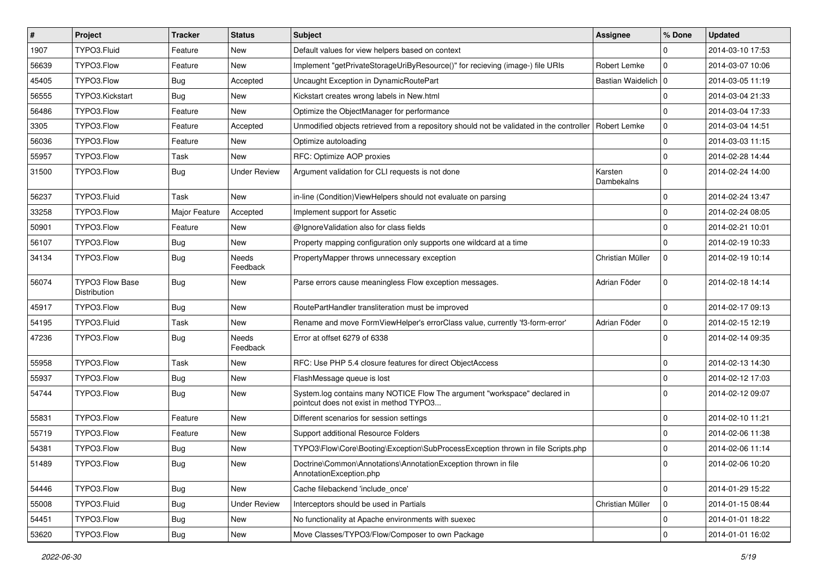| $\pmb{\#}$ | <b>Project</b>                  | <b>Tracker</b> | <b>Status</b>            | Subject                                                                                                              | <b>Assignee</b>       | % Done      | <b>Updated</b>   |
|------------|---------------------------------|----------------|--------------------------|----------------------------------------------------------------------------------------------------------------------|-----------------------|-------------|------------------|
| 1907       | TYPO3.Fluid                     | Feature        | <b>New</b>               | Default values for view helpers based on context                                                                     |                       | $\Omega$    | 2014-03-10 17:53 |
| 56639      | TYPO3.Flow                      | Feature        | <b>New</b>               | Implement "getPrivateStorageUriByResource()" for recieving (image-) file URIs                                        | Robert Lemke          | $\mathbf 0$ | 2014-03-07 10:06 |
| 45405      | TYPO3.Flow                      | <b>Bug</b>     | Accepted                 | Uncaught Exception in DynamicRoutePart                                                                               | Bastian Waidelich 0   |             | 2014-03-05 11:19 |
| 56555      | TYPO3.Kickstart                 | Bug            | New                      | Kickstart creates wrong labels in New.html                                                                           |                       | $\mathbf 0$ | 2014-03-04 21:33 |
| 56486      | TYPO3.Flow                      | Feature        | <b>New</b>               | Optimize the ObjectManager for performance                                                                           |                       | $\mathbf 0$ | 2014-03-04 17:33 |
| 3305       | TYPO3.Flow                      | Feature        | Accepted                 | Unmodified objects retrieved from a repository should not be validated in the controller                             | Robert Lemke          | $\mathbf 0$ | 2014-03-04 14:51 |
| 56036      | TYPO3.Flow                      | Feature        | New                      | Optimize autoloading                                                                                                 |                       | $\mathbf 0$ | 2014-03-03 11:15 |
| 55957      | TYPO3.Flow                      | Task           | New                      | RFC: Optimize AOP proxies                                                                                            |                       | $\mathbf 0$ | 2014-02-28 14:44 |
| 31500      | TYPO3.Flow                      | <b>Bug</b>     | <b>Under Review</b>      | Argument validation for CLI requests is not done                                                                     | Karsten<br>Dambekalns | $\Omega$    | 2014-02-24 14:00 |
| 56237      | TYPO3.Fluid                     | Task           | <b>New</b>               | in-line (Condition) View Helpers should not evaluate on parsing                                                      |                       | $\mathbf 0$ | 2014-02-24 13:47 |
| 33258      | TYPO3.Flow                      | Major Feature  | Accepted                 | Implement support for Assetic                                                                                        |                       | $\mathbf 0$ | 2014-02-24 08:05 |
| 50901      | TYPO3.Flow                      | Feature        | <b>New</b>               | @IgnoreValidation also for class fields                                                                              |                       | $\mathbf 0$ | 2014-02-21 10:01 |
| 56107      | TYPO3.Flow                      | <b>Bug</b>     | New                      | Property mapping configuration only supports one wildcard at a time                                                  |                       | $\Omega$    | 2014-02-19 10:33 |
| 34134      | TYPO3.Flow                      | <b>Bug</b>     | Needs<br>Feedback        | PropertyMapper throws unnecessary exception                                                                          | Christian Müller      | $\mathbf 0$ | 2014-02-19 10:14 |
| 56074      | TYPO3 Flow Base<br>Distribution | <b>Bug</b>     | <b>New</b>               | Parse errors cause meaningless Flow exception messages.                                                              | Adrian Föder          | $\mathbf 0$ | 2014-02-18 14:14 |
| 45917      | TYPO3.Flow                      | <b>Bug</b>     | New                      | RoutePartHandler transliteration must be improved                                                                    |                       | $\mathbf 0$ | 2014-02-17 09:13 |
| 54195      | TYPO3.Fluid                     | Task           | <b>New</b>               | Rename and move FormViewHelper's errorClass value, currently 'f3-form-error'                                         | Adrian Föder          | $\mathbf 0$ | 2014-02-15 12:19 |
| 47236      | TYPO3.Flow                      | <b>Bug</b>     | <b>Needs</b><br>Feedback | Error at offset 6279 of 6338                                                                                         |                       | $\Omega$    | 2014-02-14 09:35 |
| 55958      | TYPO3.Flow                      | Task           | <b>New</b>               | RFC: Use PHP 5.4 closure features for direct ObjectAccess                                                            |                       | $\mathbf 0$ | 2014-02-13 14:30 |
| 55937      | TYPO3.Flow                      | <b>Bug</b>     | New                      | FlashMessage queue is lost                                                                                           |                       | $\mathbf 0$ | 2014-02-12 17:03 |
| 54744      | TYPO3.Flow                      | <b>Bug</b>     | <b>New</b>               | System.log contains many NOTICE Flow The argument "workspace" declared in<br>pointcut does not exist in method TYPO3 |                       | $\Omega$    | 2014-02-12 09:07 |
| 55831      | TYPO3.Flow                      | Feature        | <b>New</b>               | Different scenarios for session settings                                                                             |                       | $\mathbf 0$ | 2014-02-10 11:21 |
| 55719      | TYPO3.Flow                      | Feature        | <b>New</b>               | Support additional Resource Folders                                                                                  |                       | $\mathbf 0$ | 2014-02-06 11:38 |
| 54381      | TYPO3.Flow                      | <b>Bug</b>     | <b>New</b>               | TYPO3\Flow\Core\Booting\Exception\SubProcessException thrown in file Scripts.php                                     |                       | $\mathbf 0$ | 2014-02-06 11:14 |
| 51489      | TYPO3.Flow                      | Bug            | New                      | Doctrine\Common\Annotations\AnnotationException thrown in file<br>AnnotationException.php                            |                       | 0           | 2014-02-06 10:20 |
| 54446      | TYPO3.Flow                      | <b>Bug</b>     | New                      | Cache filebackend 'include_once'                                                                                     |                       | 0           | 2014-01-29 15:22 |
| 55008      | TYPO3.Fluid                     | <b>Bug</b>     | <b>Under Review</b>      | Interceptors should be used in Partials                                                                              | Christian Müller      | $\mathsf 0$ | 2014-01-15 08:44 |
| 54451      | TYPO3.Flow                      | Bug            | New                      | No functionality at Apache environments with suexec                                                                  |                       | 0           | 2014-01-01 18:22 |
| 53620      | TYPO3.Flow                      | Bug            | New                      | Move Classes/TYPO3/Flow/Composer to own Package                                                                      |                       | 0           | 2014-01-01 16:02 |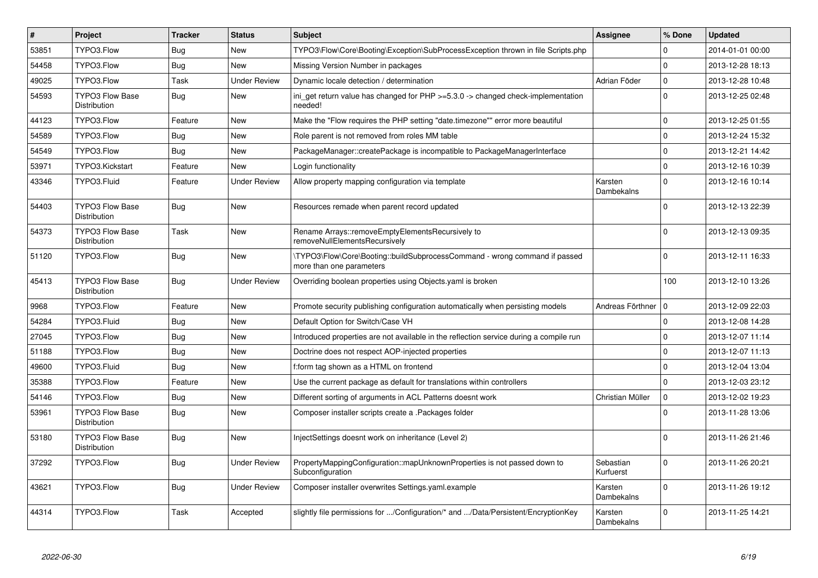| $\vert$ # | Project                                       | <b>Tracker</b> | <b>Status</b>       | <b>Subject</b>                                                                                         | <b>Assignee</b>        | % Done      | <b>Updated</b>   |
|-----------|-----------------------------------------------|----------------|---------------------|--------------------------------------------------------------------------------------------------------|------------------------|-------------|------------------|
| 53851     | TYPO3.Flow                                    | Bug            | <b>New</b>          | TYPO3\Flow\Core\Booting\Exception\SubProcessException thrown in file Scripts.php                       |                        | $\Omega$    | 2014-01-01 00:00 |
| 54458     | TYPO3.Flow                                    | Bug            | <b>New</b>          | Missing Version Number in packages                                                                     |                        | $\Omega$    | 2013-12-28 18:13 |
| 49025     | TYPO3.Flow                                    | Task           | <b>Under Review</b> | Dynamic locale detection / determination                                                               | Adrian Föder           | $\mathbf 0$ | 2013-12-28 10:48 |
| 54593     | <b>TYPO3 Flow Base</b><br>Distribution        | Bug            | New                 | ini get return value has changed for $PHP \ge 5.3.0 \ge$ changed check-implementation<br>needed!       |                        | $\Omega$    | 2013-12-25 02:48 |
| 44123     | TYPO3.Flow                                    | Feature        | <b>New</b>          | Make the "Flow requires the PHP setting "date.timezone"" error more beautiful                          |                        | $\Omega$    | 2013-12-25 01:55 |
| 54589     | TYPO3.Flow                                    | Bug            | <b>New</b>          | Role parent is not removed from roles MM table                                                         |                        | $\mathbf 0$ | 2013-12-24 15:32 |
| 54549     | TYPO3.Flow                                    | Bug            | <b>New</b>          | PackageManager::createPackage is incompatible to PackageManagerInterface                               |                        | $\Omega$    | 2013-12-21 14:42 |
| 53971     | TYPO3.Kickstart                               | Feature        | <b>New</b>          | Login functionality                                                                                    |                        | $\mathbf 0$ | 2013-12-16 10:39 |
| 43346     | TYPO3.Fluid                                   | Feature        | <b>Under Review</b> | Allow property mapping configuration via template                                                      | Karsten<br>Dambekalns  | $\Omega$    | 2013-12-16 10:14 |
| 54403     | <b>TYPO3 Flow Base</b><br>Distribution        | <b>Bug</b>     | <b>New</b>          | Resources remade when parent record updated                                                            |                        | $\Omega$    | 2013-12-13 22:39 |
| 54373     | TYPO3 Flow Base<br>Distribution               | Task           | New                 | Rename Arrays::removeEmptyElementsRecursively to<br>removeNullElementsRecursively                      |                        | $\Omega$    | 2013-12-13 09:35 |
| 51120     | TYPO3.Flow                                    | <b>Bug</b>     | <b>New</b>          | \TYPO3\Flow\Core\Booting::buildSubprocessCommand - wrong command if passed<br>more than one parameters |                        | $\Omega$    | 2013-12-11 16:33 |
| 45413     | <b>TYPO3 Flow Base</b><br>Distribution        | <b>Bug</b>     | <b>Under Review</b> | Overriding boolean properties using Objects yaml is broken                                             |                        | 100         | 2013-12-10 13:26 |
| 9968      | TYPO3.Flow                                    | Feature        | <b>New</b>          | Promote security publishing configuration automatically when persisting models                         | Andreas Förthner       | ۱٥          | 2013-12-09 22:03 |
| 54284     | TYPO3.Fluid                                   | Bug            | <b>New</b>          | Default Option for Switch/Case VH                                                                      |                        | $\mathbf 0$ | 2013-12-08 14:28 |
| 27045     | TYPO3.Flow                                    | Bug            | New                 | Introduced properties are not available in the reflection service during a compile run                 |                        | $\mathbf 0$ | 2013-12-07 11:14 |
| 51188     | TYPO3.Flow                                    | Bug            | <b>New</b>          | Doctrine does not respect AOP-injected properties                                                      |                        | $\Omega$    | 2013-12-07 11:13 |
| 49600     | TYPO3.Fluid                                   | Bug            | New                 | f:form tag shown as a HTML on frontend                                                                 |                        | $\mathbf 0$ | 2013-12-04 13:04 |
| 35388     | TYPO3.Flow                                    | Feature        | <b>New</b>          | Use the current package as default for translations within controllers                                 |                        | $\Omega$    | 2013-12-03 23:12 |
| 54146     | TYPO3.Flow                                    | Bug            | <b>New</b>          | Different sorting of arguments in ACL Patterns doesnt work                                             | Christian Müller       | $\mathbf 0$ | 2013-12-02 19:23 |
| 53961     | <b>TYPO3 Flow Base</b><br><b>Distribution</b> | <b>Bug</b>     | <b>New</b>          | Composer installer scripts create a .Packages folder                                                   |                        | $\Omega$    | 2013-11-28 13:06 |
| 53180     | <b>TYPO3 Flow Base</b><br>Distribution        | <b>Bug</b>     | <b>New</b>          | InjectSettings doesnt work on inheritance (Level 2)                                                    |                        | $\Omega$    | 2013-11-26 21:46 |
| 37292     | TYPO3.Flow                                    | <b>Bug</b>     | <b>Under Review</b> | PropertyMappingConfiguration::mapUnknownProperties is not passed down to<br>Subconfiguration           | Sebastian<br>Kurfuerst | $\Omega$    | 2013-11-26 20:21 |
| 43621     | TYPO3.Flow                                    | <b>Bug</b>     | <b>Under Review</b> | Composer installer overwrites Settings.yaml.example                                                    | Karsten<br>Dambekalns  | $\Omega$    | 2013-11-26 19:12 |
| 44314     | TYPO3.Flow                                    | Task           | Accepted            | slightly file permissions for /Configuration/* and /Data/Persistent/EncryptionKey                      | Karsten<br>Dambekalns  | $\Omega$    | 2013-11-25 14:21 |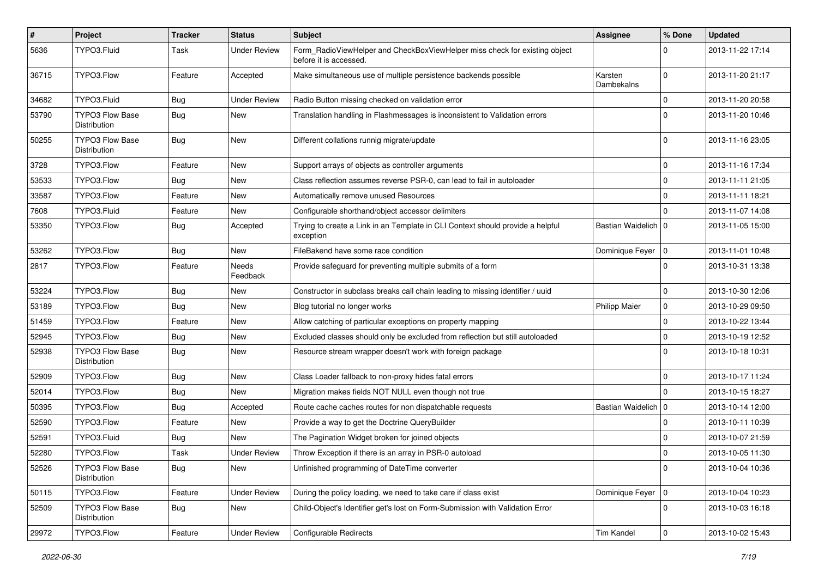| $\sharp$ | Project                                | <b>Tracker</b> | <b>Status</b>       | <b>Subject</b>                                                                                       | <b>Assignee</b>       | % Done      | <b>Updated</b>   |
|----------|----------------------------------------|----------------|---------------------|------------------------------------------------------------------------------------------------------|-----------------------|-------------|------------------|
| 5636     | TYPO3.Fluid                            | Task           | <b>Under Review</b> | Form_RadioViewHelper and CheckBoxViewHelper miss check for existing object<br>before it is accessed. |                       | $\Omega$    | 2013-11-22 17:14 |
| 36715    | TYPO3.Flow                             | Feature        | Accepted            | Make simultaneous use of multiple persistence backends possible                                      | Karsten<br>Dambekalns | $\Omega$    | 2013-11-20 21:17 |
| 34682    | TYPO3.Fluid                            | Bug            | <b>Under Review</b> | Radio Button missing checked on validation error                                                     |                       | 0           | 2013-11-20 20:58 |
| 53790    | <b>TYPO3 Flow Base</b><br>Distribution | Bug            | New                 | Translation handling in Flashmessages is inconsistent to Validation errors                           |                       | $\Omega$    | 2013-11-20 10:46 |
| 50255    | TYPO3 Flow Base<br>Distribution        | Bug            | <b>New</b>          | Different collations runnig migrate/update                                                           |                       | $\Omega$    | 2013-11-16 23:05 |
| 3728     | TYPO3.Flow                             | Feature        | <b>New</b>          | Support arrays of objects as controller arguments                                                    |                       | $\mathbf 0$ | 2013-11-16 17:34 |
| 53533    | TYPO3.Flow                             | <b>Bug</b>     | New                 | Class reflection assumes reverse PSR-0, can lead to fail in autoloader                               |                       | 0           | 2013-11-11 21:05 |
| 33587    | TYPO3.Flow                             | Feature        | New                 | Automatically remove unused Resources                                                                |                       | $\mathbf 0$ | 2013-11-11 18:21 |
| 7608     | TYPO3.Fluid                            | Feature        | New                 | Configurable shorthand/object accessor delimiters                                                    |                       | $\Omega$    | 2013-11-07 14:08 |
| 53350    | TYPO3.Flow                             | <b>Bug</b>     | Accepted            | Trying to create a Link in an Template in CLI Context should provide a helpful<br>exception          | Bastian Waidelich   0 |             | 2013-11-05 15:00 |
| 53262    | TYPO3.Flow                             | Bug            | <b>New</b>          | FileBakend have some race condition                                                                  | Dominique Feyer       | 10          | 2013-11-01 10:48 |
| 2817     | TYPO3.Flow                             | Feature        | Needs<br>Feedback   | Provide safeguard for preventing multiple submits of a form                                          |                       | $\Omega$    | 2013-10-31 13:38 |
| 53224    | TYPO3.Flow                             | Bug            | New                 | Constructor in subclass breaks call chain leading to missing identifier / uuid                       |                       | 0           | 2013-10-30 12:06 |
| 53189    | TYPO3.Flow                             | <b>Bug</b>     | New                 | Blog tutorial no longer works                                                                        | <b>Philipp Maier</b>  | $\mathbf 0$ | 2013-10-29 09:50 |
| 51459    | TYPO3.Flow                             | Feature        | <b>New</b>          | Allow catching of particular exceptions on property mapping                                          |                       | 0           | 2013-10-22 13:44 |
| 52945    | TYPO3.Flow                             | <b>Bug</b>     | New                 | Excluded classes should only be excluded from reflection but still autoloaded                        |                       | $\mathbf 0$ | 2013-10-19 12:52 |
| 52938    | <b>TYPO3 Flow Base</b><br>Distribution | Bug            | New                 | Resource stream wrapper doesn't work with foreign package                                            |                       | $\Omega$    | 2013-10-18 10:31 |
| 52909    | TYPO3.Flow                             | Bug            | New                 | Class Loader fallback to non-proxy hides fatal errors                                                |                       | $\mathbf 0$ | 2013-10-17 11:24 |
| 52014    | TYPO3.Flow                             | <b>Bug</b>     | <b>New</b>          | Migration makes fields NOT NULL even though not true                                                 |                       | $\Omega$    | 2013-10-15 18:27 |
| 50395    | TYPO3.Flow                             | <b>Bug</b>     | Accepted            | Route cache caches routes for non dispatchable requests                                              | Bastian Waidelich   0 |             | 2013-10-14 12:00 |
| 52590    | TYPO3.Flow                             | Feature        | New                 | Provide a way to get the Doctrine QueryBuilder                                                       |                       | $\mathbf 0$ | 2013-10-11 10:39 |
| 52591    | TYPO3.Fluid                            | Bug            | <b>New</b>          | The Pagination Widget broken for joined objects                                                      |                       | 0           | 2013-10-07 21:59 |
| 52280    | TYPO3.Flow                             | Task           | <b>Under Review</b> | Throw Exception if there is an array in PSR-0 autoload                                               |                       | $\mathbf 0$ | 2013-10-05 11:30 |
| 52526    | TYPO3 Flow Base<br>Distribution        | <b>Bug</b>     | New                 | Unfinished programming of DateTime converter                                                         |                       | 0           | 2013-10-04 10:36 |
| 50115    | TYPO3.Flow                             | Feature        | <b>Under Review</b> | During the policy loading, we need to take care if class exist                                       | Dominique Feyer   0   |             | 2013-10-04 10:23 |
| 52509    | <b>TYPO3 Flow Base</b><br>Distribution | <b>Bug</b>     | New                 | Child-Object's Identifier get's lost on Form-Submission with Validation Error                        |                       | $\mathbf 0$ | 2013-10-03 16:18 |
| 29972    | TYPO3.Flow                             | Feature        | <b>Under Review</b> | Configurable Redirects                                                                               | Tim Kandel            | $\pmb{0}$   | 2013-10-02 15:43 |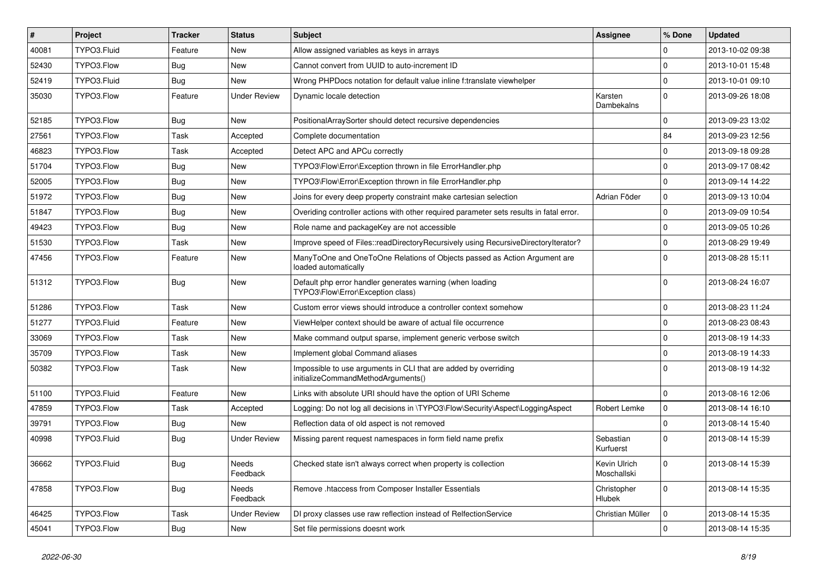| #     | Project     | <b>Tracker</b> | <b>Status</b>       | <b>Subject</b>                                                                                        | <b>Assignee</b>             | % Done      | <b>Updated</b>   |
|-------|-------------|----------------|---------------------|-------------------------------------------------------------------------------------------------------|-----------------------------|-------------|------------------|
| 40081 | TYPO3.Fluid | Feature        | New                 | Allow assigned variables as keys in arrays                                                            |                             | 0           | 2013-10-02 09:38 |
| 52430 | TYPO3.Flow  | Bug            | New                 | Cannot convert from UUID to auto-increment ID                                                         |                             | $\mathbf 0$ | 2013-10-01 15:48 |
| 52419 | TYPO3.Fluid | <b>Bug</b>     | New                 | Wrong PHPDocs notation for default value inline f:translate viewhelper                                |                             | $\mathbf 0$ | 2013-10-01 09:10 |
| 35030 | TYPO3.Flow  | Feature        | <b>Under Review</b> | Dynamic locale detection                                                                              | Karsten<br>Dambekalns       | $\Omega$    | 2013-09-26 18:08 |
| 52185 | TYPO3.Flow  | <b>Bug</b>     | New                 | PositionalArraySorter should detect recursive dependencies                                            |                             | $\Omega$    | 2013-09-23 13:02 |
| 27561 | TYPO3.Flow  | Task           | Accepted            | Complete documentation                                                                                |                             | 84          | 2013-09-23 12:56 |
| 46823 | TYPO3.Flow  | Task           | Accepted            | Detect APC and APCu correctly                                                                         |                             | 0           | 2013-09-18 09:28 |
| 51704 | TYPO3.Flow  | <b>Bug</b>     | New                 | TYPO3\Flow\Error\Exception thrown in file ErrorHandler.php                                            |                             | $\mathbf 0$ | 2013-09-17 08:42 |
| 52005 | TYPO3.Flow  | <b>Bug</b>     | <b>New</b>          | TYPO3\Flow\Error\Exception thrown in file ErrorHandler.php                                            |                             | $\mathbf 0$ | 2013-09-14 14:22 |
| 51972 | TYPO3.Flow  | <b>Bug</b>     | New                 | Joins for every deep property constraint make cartesian selection                                     | Adrian Föder                | $\mathbf 0$ | 2013-09-13 10:04 |
| 51847 | TYPO3.Flow  | <b>Bug</b>     | New                 | Overiding controller actions with other required parameter sets results in fatal error.               |                             | $\mathbf 0$ | 2013-09-09 10:54 |
| 49423 | TYPO3.Flow  | <b>Bug</b>     | New                 | Role name and packageKey are not accessible                                                           |                             | 0           | 2013-09-05 10:26 |
| 51530 | TYPO3.Flow  | Task           | New                 | Improve speed of Files::readDirectoryRecursively using RecursiveDirectoryIterator?                    |                             | $\mathbf 0$ | 2013-08-29 19:49 |
| 47456 | TYPO3.Flow  | Feature        | New                 | ManyToOne and OneToOne Relations of Objects passed as Action Argument are<br>loaded automatically     |                             | $\Omega$    | 2013-08-28 15:11 |
| 51312 | TYPO3.Flow  | <b>Bug</b>     | New                 | Default php error handler generates warning (when loading<br>TYPO3\Flow\Error\Exception class)        |                             | $\Omega$    | 2013-08-24 16:07 |
| 51286 | TYPO3.Flow  | Task           | <b>New</b>          | Custom error views should introduce a controller context somehow                                      |                             | $\mathbf 0$ | 2013-08-23 11:24 |
| 51277 | TYPO3.Fluid | Feature        | New                 | ViewHelper context should be aware of actual file occurrence                                          |                             | $\mathbf 0$ | 2013-08-23 08:43 |
| 33069 | TYPO3.Flow  | Task           | New                 | Make command output sparse, implement generic verbose switch                                          |                             | $\mathbf 0$ | 2013-08-19 14:33 |
| 35709 | TYPO3.Flow  | Task           | <b>New</b>          | Implement global Command aliases                                                                      |                             | $\mathbf 0$ | 2013-08-19 14:33 |
| 50382 | TYPO3.Flow  | Task           | New                 | Impossible to use arguments in CLI that are added by overriding<br>initializeCommandMethodArguments() |                             | $\Omega$    | 2013-08-19 14:32 |
| 51100 | TYPO3.Fluid | Feature        | <b>New</b>          | Links with absolute URI should have the option of URI Scheme                                          |                             | $\mathbf 0$ | 2013-08-16 12:06 |
| 47859 | TYPO3.Flow  | Task           | Accepted            | Logging: Do not log all decisions in \TYPO3\Flow\Security\Aspect\LoggingAspect                        | Robert Lemke                | $\mathbf 0$ | 2013-08-14 16:10 |
| 39791 | TYPO3.Flow  | <b>Bug</b>     | New                 | Reflection data of old aspect is not removed                                                          |                             | $\mathbf 0$ | 2013-08-14 15:40 |
| 40998 | TYPO3.Fluid | <b>Bug</b>     | <b>Under Review</b> | Missing parent request namespaces in form field name prefix                                           | Sebastian<br>Kurfuerst      | $\Omega$    | 2013-08-14 15:39 |
| 36662 | TYPO3.Fluid | <b>Bug</b>     | Needs<br>Feedback   | Checked state isn't always correct when property is collection                                        | Kevin Ulrich<br>Moschallski | $\mathbf 0$ | 2013-08-14 15:39 |
| 47858 | TYPO3.Flow  | <b>Bug</b>     | Needs<br>Feedback   | Remove .htaccess from Composer Installer Essentials                                                   | Christopher<br>Hlubek       | 0           | 2013-08-14 15:35 |
| 46425 | TYPO3.Flow  | Task           | <b>Under Review</b> | DI proxy classes use raw reflection instead of RelfectionService                                      | Christian Müller            | $\mathbf 0$ | 2013-08-14 15:35 |
| 45041 | TYPO3.Flow  | <b>Bug</b>     | New                 | Set file permissions doesnt work                                                                      |                             | $\pmb{0}$   | 2013-08-14 15:35 |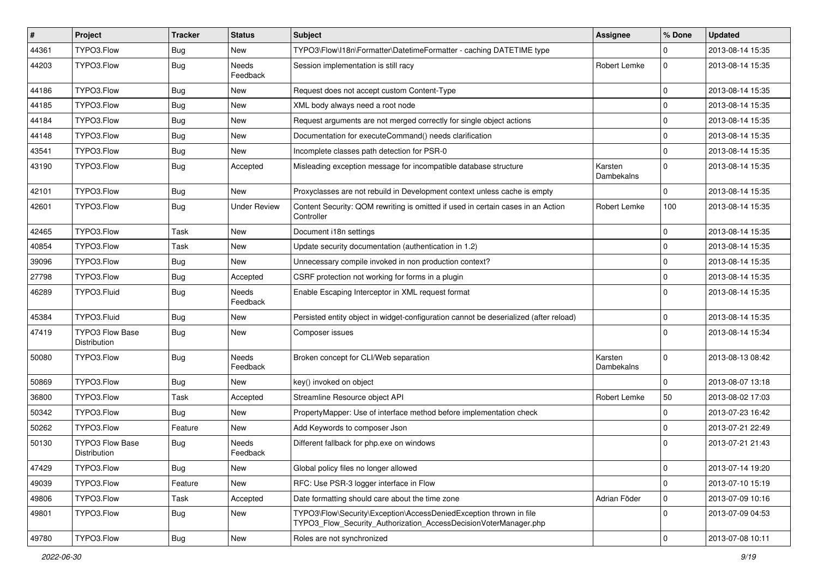| $\vert$ # | Project                                | <b>Tracker</b> | <b>Status</b>            | Subject                                                                                                                                | <b>Assignee</b>       | % Done      | <b>Updated</b>   |
|-----------|----------------------------------------|----------------|--------------------------|----------------------------------------------------------------------------------------------------------------------------------------|-----------------------|-------------|------------------|
| 44361     | TYPO3.Flow                             | <b>Bug</b>     | New                      | TYPO3\Flow\I18n\Formatter\DatetimeFormatter - caching DATETIME type                                                                    |                       | 0           | 2013-08-14 15:35 |
| 44203     | TYPO3.Flow                             | <b>Bug</b>     | <b>Needs</b><br>Feedback | Session implementation is still racy                                                                                                   | Robert Lemke          | $\mathbf 0$ | 2013-08-14 15:35 |
| 44186     | TYPO3.Flow                             | <b>Bug</b>     | New                      | Request does not accept custom Content-Type                                                                                            |                       | $\mathbf 0$ | 2013-08-14 15:35 |
| 44185     | TYPO3.Flow                             | <b>Bug</b>     | New                      | XML body always need a root node                                                                                                       |                       | 0           | 2013-08-14 15:35 |
| 44184     | TYPO3.Flow                             | <b>Bug</b>     | New                      | Request arguments are not merged correctly for single object actions                                                                   |                       | 0           | 2013-08-14 15:35 |
| 44148     | TYPO3.Flow                             | <b>Bug</b>     | New                      | Documentation for executeCommand() needs clarification                                                                                 |                       | $\mathbf 0$ | 2013-08-14 15:35 |
| 43541     | TYPO3.Flow                             | <b>Bug</b>     | New                      | Incomplete classes path detection for PSR-0                                                                                            |                       | $\mathbf 0$ | 2013-08-14 15:35 |
| 43190     | TYPO3.Flow                             | <b>Bug</b>     | Accepted                 | Misleading exception message for incompatible database structure                                                                       | Karsten<br>Dambekalns | 0           | 2013-08-14 15:35 |
| 42101     | TYPO3.Flow                             | <b>Bug</b>     | New                      | Proxyclasses are not rebuild in Development context unless cache is empty                                                              |                       | $\mathbf 0$ | 2013-08-14 15:35 |
| 42601     | TYPO3.Flow                             | <b>Bug</b>     | <b>Under Review</b>      | Content Security: QOM rewriting is omitted if used in certain cases in an Action<br>Controller                                         | Robert Lemke          | 100         | 2013-08-14 15:35 |
| 42465     | TYPO3.Flow                             | Task           | <b>New</b>               | Document i18n settings                                                                                                                 |                       | $\mathbf 0$ | 2013-08-14 15:35 |
| 40854     | TYPO3.Flow                             | Task           | New                      | Update security documentation (authentication in 1.2)                                                                                  |                       | $\mathbf 0$ | 2013-08-14 15:35 |
| 39096     | TYPO3.Flow                             | <b>Bug</b>     | New                      | Unnecessary compile invoked in non production context?                                                                                 |                       | 0           | 2013-08-14 15:35 |
| 27798     | TYPO3.Flow                             | <b>Bug</b>     | Accepted                 | CSRF protection not working for forms in a plugin                                                                                      |                       | 0           | 2013-08-14 15:35 |
| 46289     | TYPO3.Fluid                            | <b>Bug</b>     | <b>Needs</b><br>Feedback | Enable Escaping Interceptor in XML request format                                                                                      |                       | $\Omega$    | 2013-08-14 15:35 |
| 45384     | TYPO3.Fluid                            | <b>Bug</b>     | New                      | Persisted entity object in widget-configuration cannot be deserialized (after reload)                                                  |                       | 0           | 2013-08-14 15:35 |
| 47419     | TYPO3 Flow Base<br><b>Distribution</b> | <b>Bug</b>     | New                      | Composer issues                                                                                                                        |                       | $\Omega$    | 2013-08-14 15:34 |
| 50080     | TYPO3.Flow                             | <b>Bug</b>     | <b>Needs</b><br>Feedback | Broken concept for CLI/Web separation                                                                                                  | Karsten<br>Dambekalns | $\mathbf 0$ | 2013-08-13 08:42 |
| 50869     | TYPO3.Flow                             | <b>Bug</b>     | New                      | key() invoked on object                                                                                                                |                       | $\mathbf 0$ | 2013-08-07 13:18 |
| 36800     | TYPO3.Flow                             | Task           | Accepted                 | Streamline Resource object API                                                                                                         | Robert Lemke          | 50          | 2013-08-02 17:03 |
| 50342     | TYPO3.Flow                             | <b>Bug</b>     | New                      | PropertyMapper: Use of interface method before implementation check                                                                    |                       | 0           | 2013-07-23 16:42 |
| 50262     | TYPO3.Flow                             | Feature        | New                      | Add Keywords to composer Json                                                                                                          |                       | 0           | 2013-07-21 22:49 |
| 50130     | <b>TYPO3 Flow Base</b><br>Distribution | Bug            | <b>Needs</b><br>Feedback | Different fallback for php.exe on windows                                                                                              |                       | $\Omega$    | 2013-07-21 21:43 |
| 47429     | TYPO3.Flow                             | Bug            | New                      | Global policy files no longer allowed                                                                                                  |                       | $\pmb{0}$   | 2013-07-14 19:20 |
| 49039     | TYPO3.Flow                             | Feature        | New                      | RFC: Use PSR-3 logger interface in Flow                                                                                                |                       | $\mathbf 0$ | 2013-07-10 15:19 |
| 49806     | TYPO3.Flow                             | Task           | Accepted                 | Date formatting should care about the time zone                                                                                        | Adrian Föder          | 0           | 2013-07-09 10:16 |
| 49801     | TYPO3.Flow                             | <b>Bug</b>     | New                      | TYPO3\Flow\Security\Exception\AccessDeniedException thrown in file<br>TYPO3_Flow_Security_Authorization_AccessDecisionVoterManager.php |                       | $\mathbf 0$ | 2013-07-09 04:53 |
| 49780     | TYPO3.Flow                             | Bug            | New                      | Roles are not synchronized                                                                                                             |                       | $\mathbf 0$ | 2013-07-08 10:11 |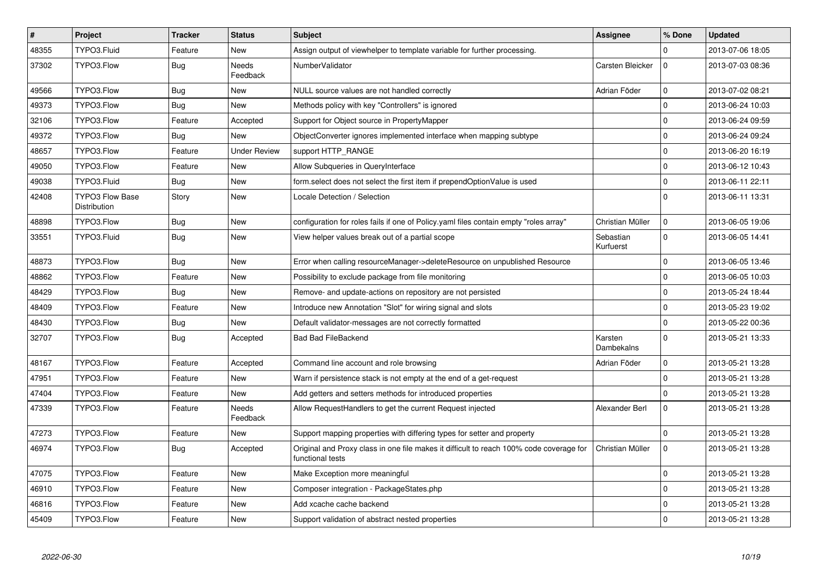| $\vert$ # | Project                                       | <b>Tracker</b> | <b>Status</b>            | <b>Subject</b>                                                                                              | <b>Assignee</b>        | % Done      | <b>Updated</b>   |
|-----------|-----------------------------------------------|----------------|--------------------------|-------------------------------------------------------------------------------------------------------------|------------------------|-------------|------------------|
| 48355     | TYPO3.Fluid                                   | Feature        | <b>New</b>               | Assign output of viewhelper to template variable for further processing.                                    |                        | $\Omega$    | 2013-07-06 18:05 |
| 37302     | TYPO3.Flow                                    | <b>Bug</b>     | <b>Needs</b><br>Feedback | NumberValidator                                                                                             | Carsten Bleicker       | $\Omega$    | 2013-07-03 08:36 |
| 49566     | TYPO3.Flow                                    | Bug            | <b>New</b>               | NULL source values are not handled correctly                                                                | Adrian Föder           | $\mathbf 0$ | 2013-07-02 08:21 |
| 49373     | TYPO3.Flow                                    | Bug            | <b>New</b>               | Methods policy with key "Controllers" is ignored                                                            |                        | $\mathbf 0$ | 2013-06-24 10:03 |
| 32106     | TYPO3.Flow                                    | Feature        | Accepted                 | Support for Object source in PropertyMapper                                                                 |                        | $\mathbf 0$ | 2013-06-24 09:59 |
| 49372     | TYPO3.Flow                                    | Bug            | <b>New</b>               | ObjectConverter ignores implemented interface when mapping subtype                                          |                        | $\mathbf 0$ | 2013-06-24 09:24 |
| 48657     | TYPO3.Flow                                    | Feature        | <b>Under Review</b>      | support HTTP_RANGE                                                                                          |                        | $\mathbf 0$ | 2013-06-20 16:19 |
| 49050     | TYPO3.Flow                                    | Feature        | New                      | Allow Subqueries in QueryInterface                                                                          |                        | $\mathbf 0$ | 2013-06-12 10:43 |
| 49038     | TYPO3.Fluid                                   | Bug            | New                      | form.select does not select the first item if prependOptionValue is used                                    |                        | $\mathbf 0$ | 2013-06-11 22:11 |
| 42408     | <b>TYPO3 Flow Base</b><br><b>Distribution</b> | Story          | New                      | Locale Detection / Selection                                                                                |                        | $\Omega$    | 2013-06-11 13:31 |
| 48898     | TYPO3.Flow                                    | <b>Bug</b>     | <b>New</b>               | configuration for roles fails if one of Policy yaml files contain empty "roles array"                       | Christian Müller       | $\mathbf 0$ | 2013-06-05 19:06 |
| 33551     | TYPO3.Fluid                                   | Bug            | <b>New</b>               | View helper values break out of a partial scope                                                             | Sebastian<br>Kurfuerst | $\Omega$    | 2013-06-05 14:41 |
| 48873     | TYPO3.Flow                                    | <b>Bug</b>     | <b>New</b>               | Error when calling resourceManager->deleteResource on unpublished Resource                                  |                        | $\Omega$    | 2013-06-05 13:46 |
| 48862     | TYPO3.Flow                                    | Feature        | <b>New</b>               | Possibility to exclude package from file monitoring                                                         |                        | $\mathbf 0$ | 2013-06-05 10:03 |
| 48429     | TYPO3.Flow                                    | <b>Bug</b>     | <b>New</b>               | Remove- and update-actions on repository are not persisted                                                  |                        | $\mathbf 0$ | 2013-05-24 18:44 |
| 48409     | TYPO3.Flow                                    | Feature        | <b>New</b>               | Introduce new Annotation "Slot" for wiring signal and slots                                                 |                        | $\mathbf 0$ | 2013-05-23 19:02 |
| 48430     | TYPO3.Flow                                    | Bug            | New                      | Default validator-messages are not correctly formatted                                                      |                        | $\mathbf 0$ | 2013-05-22 00:36 |
| 32707     | TYPO3.Flow                                    | Bug            | Accepted                 | <b>Bad Bad FileBackend</b>                                                                                  | Karsten<br>Dambekalns  | $\Omega$    | 2013-05-21 13:33 |
| 48167     | TYPO3.Flow                                    | Feature        | Accepted                 | Command line account and role browsing                                                                      | Adrian Föder           | $\mathbf 0$ | 2013-05-21 13:28 |
| 47951     | TYPO3.Flow                                    | Feature        | <b>New</b>               | Warn if persistence stack is not empty at the end of a get-request                                          |                        | $\mathbf 0$ | 2013-05-21 13:28 |
| 47404     | TYPO3.Flow                                    | Feature        | New                      | Add getters and setters methods for introduced properties                                                   |                        | $\Omega$    | 2013-05-21 13:28 |
| 47339     | TYPO3.Flow                                    | Feature        | Needs<br>Feedback        | Allow RequestHandlers to get the current Request injected                                                   | Alexander Berl         | $\mathbf 0$ | 2013-05-21 13:28 |
| 47273     | TYPO3.Flow                                    | Feature        | <b>New</b>               | Support mapping properties with differing types for setter and property                                     |                        | $\mathbf 0$ | 2013-05-21 13:28 |
| 46974     | TYPO3.Flow                                    | <b>Bug</b>     | Accepted                 | Original and Proxy class in one file makes it difficult to reach 100% code coverage for<br>functional tests | Christian Müller       | $\Omega$    | 2013-05-21 13:28 |
| 47075     | TYPO3.Flow                                    | Feature        | <b>New</b>               | Make Exception more meaningful                                                                              |                        | $\pmb{0}$   | 2013-05-21 13:28 |
| 46910     | TYPO3.Flow                                    | Feature        | <b>New</b>               | Composer integration - PackageStates.php                                                                    |                        | $\mathbf 0$ | 2013-05-21 13:28 |
| 46816     | TYPO3.Flow                                    | Feature        | <b>New</b>               | Add xcache cache backend                                                                                    |                        | $\pmb{0}$   | 2013-05-21 13:28 |
| 45409     | TYPO3.Flow                                    | Feature        | <b>New</b>               | Support validation of abstract nested properties                                                            |                        | $\mathbf 0$ | 2013-05-21 13:28 |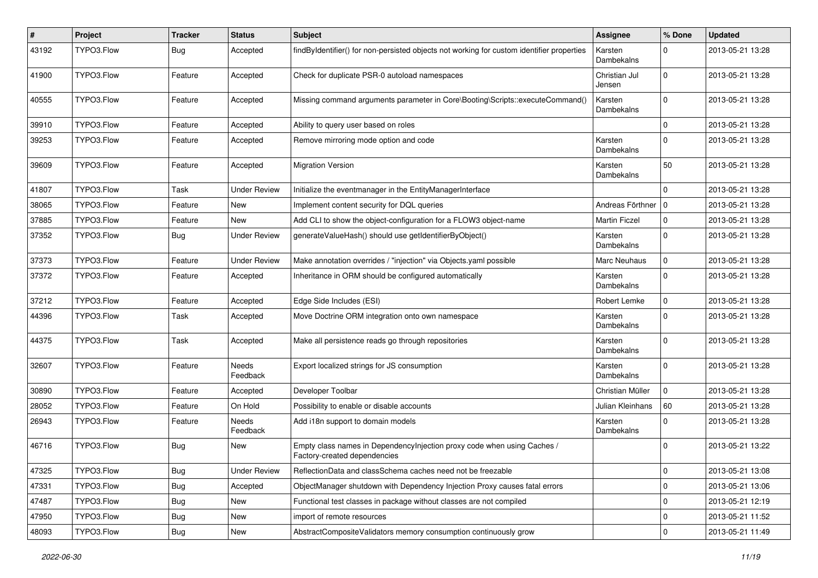| ∦     | Project    | <b>Tracker</b> | <b>Status</b>       | <b>Subject</b>                                                                                          | <b>Assignee</b>         | % Done      | <b>Updated</b>   |
|-------|------------|----------------|---------------------|---------------------------------------------------------------------------------------------------------|-------------------------|-------------|------------------|
| 43192 | TYPO3.Flow | Bug            | Accepted            | findByIdentifier() for non-persisted objects not working for custom identifier properties               | Karsten<br>Dambekalns   | $\Omega$    | 2013-05-21 13:28 |
| 41900 | TYPO3.Flow | Feature        | Accepted            | Check for duplicate PSR-0 autoload namespaces                                                           | Christian Jul<br>Jensen | $\mathbf 0$ | 2013-05-21 13:28 |
| 40555 | TYPO3.Flow | Feature        | Accepted            | Missing command arguments parameter in Core\Booting\Scripts::executeCommand()                           | Karsten<br>Dambekalns   | $\mathbf 0$ | 2013-05-21 13:28 |
| 39910 | TYPO3.Flow | Feature        | Accepted            | Ability to query user based on roles                                                                    |                         | $\mathbf 0$ | 2013-05-21 13:28 |
| 39253 | TYPO3.Flow | Feature        | Accepted            | Remove mirroring mode option and code                                                                   | Karsten<br>Dambekalns   | $\Omega$    | 2013-05-21 13:28 |
| 39609 | TYPO3.Flow | Feature        | Accepted            | <b>Migration Version</b>                                                                                | Karsten<br>Dambekalns   | 50          | 2013-05-21 13:28 |
| 41807 | TYPO3.Flow | Task           | <b>Under Review</b> | Initialize the eventmanager in the EntityManagerInterface                                               |                         | $\Omega$    | 2013-05-21 13:28 |
| 38065 | TYPO3.Flow | Feature        | New                 | Implement content security for DQL queries                                                              | Andreas Förthner   0    |             | 2013-05-21 13:28 |
| 37885 | TYPO3.Flow | Feature        | New                 | Add CLI to show the object-configuration for a FLOW3 object-name                                        | <b>Martin Ficzel</b>    | $\mathbf 0$ | 2013-05-21 13:28 |
| 37352 | TYPO3.Flow | Bug            | <b>Under Review</b> | generateValueHash() should use getIdentifierByObject()                                                  | Karsten<br>Dambekalns   | $\Omega$    | 2013-05-21 13:28 |
| 37373 | TYPO3.Flow | Feature        | <b>Under Review</b> | Make annotation overrides / "injection" via Objects yaml possible                                       | Marc Neuhaus            | $\mathbf 0$ | 2013-05-21 13:28 |
| 37372 | TYPO3.Flow | Feature        | Accepted            | Inheritance in ORM should be configured automatically                                                   | Karsten<br>Dambekalns   | $\Omega$    | 2013-05-21 13:28 |
| 37212 | TYPO3.Flow | Feature        | Accepted            | Edge Side Includes (ESI)                                                                                | Robert Lemke            | $\mathbf 0$ | 2013-05-21 13:28 |
| 44396 | TYPO3.Flow | Task           | Accepted            | Move Doctrine ORM integration onto own namespace                                                        | Karsten<br>Dambekalns   | $\Omega$    | 2013-05-21 13:28 |
| 44375 | TYPO3.Flow | Task           | Accepted            | Make all persistence reads go through repositories                                                      | Karsten<br>Dambekalns   | $\Omega$    | 2013-05-21 13:28 |
| 32607 | TYPO3.Flow | Feature        | Needs<br>Feedback   | Export localized strings for JS consumption                                                             | Karsten<br>Dambekalns   | $\Omega$    | 2013-05-21 13:28 |
| 30890 | TYPO3.Flow | Feature        | Accepted            | Developer Toolbar                                                                                       | Christian Müller        | $\mathbf 0$ | 2013-05-21 13:28 |
| 28052 | TYPO3.Flow | Feature        | On Hold             | Possibility to enable or disable accounts                                                               | Julian Kleinhans        | 60          | 2013-05-21 13:28 |
| 26943 | TYPO3.Flow | Feature        | Needs<br>Feedback   | Add i18n support to domain models                                                                       | Karsten<br>Dambekalns   | $\Omega$    | 2013-05-21 13:28 |
| 46716 | TYPO3.Flow | <b>Bug</b>     | New                 | Empty class names in DependencyInjection proxy code when using Caches /<br>Factory-created dependencies |                         | $\Omega$    | 2013-05-21 13:22 |
| 47325 | TYPO3.Flow | <b>Bug</b>     | <b>Under Review</b> | ReflectionData and classSchema caches need not be freezable                                             |                         | $\mathbf 0$ | 2013-05-21 13:08 |
| 47331 | TYPO3.Flow | <b>Bug</b>     | Accepted            | ObjectManager shutdown with Dependency Injection Proxy causes fatal errors                              |                         | $\mathbf 0$ | 2013-05-21 13:06 |
| 47487 | TYPO3.Flow | <b>Bug</b>     | New                 | Functional test classes in package without classes are not compiled                                     |                         | 0           | 2013-05-21 12:19 |
| 47950 | TYPO3.Flow | <b>Bug</b>     | New                 | import of remote resources                                                                              |                         | $\mathbf 0$ | 2013-05-21 11:52 |
| 48093 | TYPO3.Flow | <b>Bug</b>     | New                 | AbstractCompositeValidators memory consumption continuously grow                                        |                         | $\mathbf 0$ | 2013-05-21 11:49 |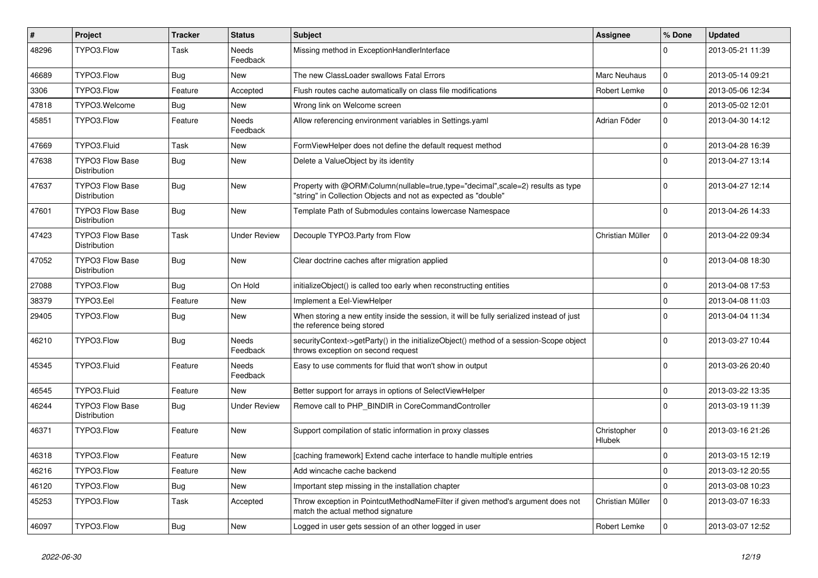| $\sharp$ | <b>Project</b>                                | <b>Tracker</b> | <b>Status</b>            | <b>Subject</b>                                                                                                                                    | <b>Assignee</b>       | % Done      | <b>Updated</b>   |
|----------|-----------------------------------------------|----------------|--------------------------|---------------------------------------------------------------------------------------------------------------------------------------------------|-----------------------|-------------|------------------|
| 48296    | TYPO3.Flow                                    | Task           | <b>Needs</b><br>Feedback | Missing method in ExceptionHandlerInterface                                                                                                       |                       | $\Omega$    | 2013-05-21 11:39 |
| 46689    | TYPO3.Flow                                    | Bug            | <b>New</b>               | The new ClassLoader swallows Fatal Errors                                                                                                         | Marc Neuhaus          | $\mathbf 0$ | 2013-05-14 09:21 |
| 3306     | TYPO3.Flow                                    | Feature        | Accepted                 | Flush routes cache automatically on class file modifications                                                                                      | Robert Lemke          | $\mathbf 0$ | 2013-05-06 12:34 |
| 47818    | TYPO3.Welcome                                 | Bug            | <b>New</b>               | Wrong link on Welcome screen                                                                                                                      |                       | $\mathbf 0$ | 2013-05-02 12:01 |
| 45851    | TYPO3.Flow                                    | Feature        | <b>Needs</b><br>Feedback | Allow referencing environment variables in Settings.yaml                                                                                          | Adrian Föder          | $\Omega$    | 2013-04-30 14:12 |
| 47669    | TYPO3.Fluid                                   | Task           | <b>New</b>               | FormViewHelper does not define the default request method                                                                                         |                       | $\Omega$    | 2013-04-28 16:39 |
| 47638    | <b>TYPO3 Flow Base</b><br><b>Distribution</b> | Bug            | <b>New</b>               | Delete a ValueObject by its identity                                                                                                              |                       | $\Omega$    | 2013-04-27 13:14 |
| 47637    | <b>TYPO3 Flow Base</b><br>Distribution        | <b>Bug</b>     | <b>New</b>               | Property with @ORM\Column(nullable=true,type="decimal",scale=2) results as type<br>"string" in Collection Objects and not as expected as "double" |                       | $\Omega$    | 2013-04-27 12:14 |
| 47601    | <b>TYPO3 Flow Base</b><br><b>Distribution</b> | Bug            | <b>New</b>               | Template Path of Submodules contains lowercase Namespace                                                                                          |                       | $\Omega$    | 2013-04-26 14:33 |
| 47423    | <b>TYPO3 Flow Base</b><br>Distribution        | Task           | <b>Under Review</b>      | Decouple TYPO3.Party from Flow                                                                                                                    | Christian Müller      | $\mathbf 0$ | 2013-04-22 09:34 |
| 47052    | <b>TYPO3 Flow Base</b><br>Distribution        | Bug            | <b>New</b>               | Clear doctrine caches after migration applied                                                                                                     |                       | $\Omega$    | 2013-04-08 18:30 |
| 27088    | TYPO3.Flow                                    | Bug            | On Hold                  | initializeObject() is called too early when reconstructing entities                                                                               |                       | $\Omega$    | 2013-04-08 17:53 |
| 38379    | TYPO3.Eel                                     | Feature        | <b>New</b>               | Implement a Eel-ViewHelper                                                                                                                        |                       | $\Omega$    | 2013-04-08 11:03 |
| 29405    | TYPO3.Flow                                    | Bug            | <b>New</b>               | When storing a new entity inside the session, it will be fully serialized instead of just<br>the reference being stored                           |                       | $\Omega$    | 2013-04-04 11:34 |
| 46210    | TYPO3.Flow                                    | <b>Bug</b>     | Needs<br>Feedback        | securityContext->getParty() in the initializeObject() method of a session-Scope object<br>throws exception on second request                      |                       | $\Omega$    | 2013-03-27 10:44 |
| 45345    | TYPO3.Fluid                                   | Feature        | Needs<br>Feedback        | Easy to use comments for fluid that won't show in output                                                                                          |                       | $\Omega$    | 2013-03-26 20:40 |
| 46545    | TYPO3.Fluid                                   | Feature        | New                      | Better support for arrays in options of SelectViewHelper                                                                                          |                       | $\mathbf 0$ | 2013-03-22 13:35 |
| 46244    | <b>TYPO3 Flow Base</b><br><b>Distribution</b> | <b>Bug</b>     | <b>Under Review</b>      | Remove call to PHP_BINDIR in CoreCommandController                                                                                                |                       | $\Omega$    | 2013-03-19 11:39 |
| 46371    | TYPO3.Flow                                    | Feature        | <b>New</b>               | Support compilation of static information in proxy classes                                                                                        | Christopher<br>Hlubek | $\Omega$    | 2013-03-16 21:26 |
| 46318    | TYPO3.Flow                                    | Feature        | <b>New</b>               | [caching framework] Extend cache interface to handle multiple entries                                                                             |                       | $\mathbf 0$ | 2013-03-15 12:19 |
| 46216    | TYPO3.Flow                                    | Feature        | <b>New</b>               | Add wincache cache backend                                                                                                                        |                       | $\mathbf 0$ | 2013-03-12 20:55 |
| 46120    | TYPO3.Flow                                    | <b>Bug</b>     | <b>New</b>               | Important step missing in the installation chapter                                                                                                |                       | $\mathbf 0$ | 2013-03-08 10:23 |
| 45253    | TYPO3.Flow                                    | Task           | Accepted                 | Throw exception in PointcutMethodNameFilter if given method's argument does not<br>match the actual method signature                              | Christian Müller      | $\Omega$    | 2013-03-07 16:33 |
| 46097    | TYPO3.Flow                                    | <b>Bug</b>     | <b>New</b>               | Logged in user gets session of an other logged in user                                                                                            | Robert Lemke          | $\Omega$    | 2013-03-07 12:52 |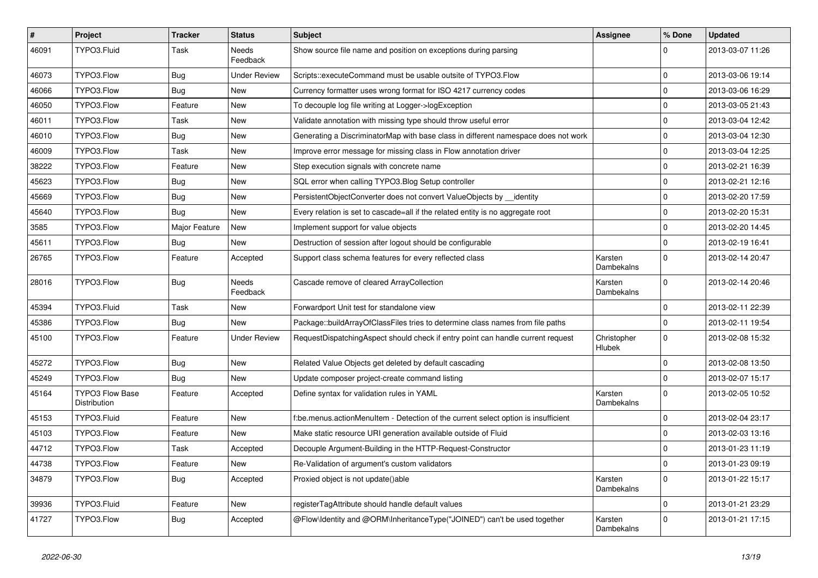| $\sharp$ | Project                                | <b>Tracker</b> | <b>Status</b>       | <b>Subject</b>                                                                     | <b>Assignee</b>       | % Done       | <b>Updated</b>   |
|----------|----------------------------------------|----------------|---------------------|------------------------------------------------------------------------------------|-----------------------|--------------|------------------|
| 46091    | TYPO3.Fluid                            | Task           | Needs<br>Feedback   | Show source file name and position on exceptions during parsing                    |                       |              | 2013-03-07 11:26 |
| 46073    | TYPO3.Flow                             | <b>Bug</b>     | <b>Under Review</b> | Scripts::executeCommand must be usable outsite of TYPO3.Flow                       |                       | $\mathbf 0$  | 2013-03-06 19:14 |
| 46066    | TYPO3.Flow                             | <b>Bug</b>     | New                 | Currency formatter uses wrong format for ISO 4217 currency codes                   |                       | $\mathbf 0$  | 2013-03-06 16:29 |
| 46050    | TYPO3.Flow                             | Feature        | New                 | To decouple log file writing at Logger->logException                               |                       | $\mathbf 0$  | 2013-03-05 21:43 |
| 46011    | TYPO3.Flow                             | Task           | New                 | Validate annotation with missing type should throw useful error                    |                       | $\mathbf 0$  | 2013-03-04 12:42 |
| 46010    | TYPO3.Flow                             | <b>Bug</b>     | New                 | Generating a DiscriminatorMap with base class in different namespace does not work |                       | $\mathbf 0$  | 2013-03-04 12:30 |
| 46009    | TYPO3.Flow                             | Task           | New                 | Improve error message for missing class in Flow annotation driver                  |                       | $\mathbf 0$  | 2013-03-04 12:25 |
| 38222    | TYPO3.Flow                             | Feature        | New                 | Step execution signals with concrete name                                          |                       | $\mathbf 0$  | 2013-02-21 16:39 |
| 45623    | TYPO3.Flow                             | <b>Bug</b>     | <b>New</b>          | SQL error when calling TYPO3. Blog Setup controller                                |                       | 0            | 2013-02-21 12:16 |
| 45669    | TYPO3.Flow                             | Bug            | New                 | PersistentObjectConverter does not convert ValueObjects by identity                |                       | $\mathbf 0$  | 2013-02-20 17:59 |
| 45640    | TYPO3.Flow                             | Bug            | New                 | Every relation is set to cascade=all if the related entity is no aggregate root    |                       | $\mathbf 0$  | 2013-02-20 15:31 |
| 3585     | TYPO3.Flow                             | Major Feature  | New                 | Implement support for value objects                                                |                       | $\mathbf 0$  | 2013-02-20 14:45 |
| 45611    | TYPO3.Flow                             | <b>Bug</b>     | New                 | Destruction of session after logout should be configurable                         |                       | $\mathbf 0$  | 2013-02-19 16:41 |
| 26765    | TYPO3.Flow                             | Feature        | Accepted            | Support class schema features for every reflected class                            | Karsten<br>Dambekalns | $\Omega$     | 2013-02-14 20:47 |
| 28016    | TYPO3.Flow                             | <b>Bug</b>     | Needs<br>Feedback   | Cascade remove of cleared ArrayCollection                                          | Karsten<br>Dambekalns | $\Omega$     | 2013-02-14 20:46 |
| 45394    | TYPO3.Fluid                            | Task           | New                 | Forwardport Unit test for standalone view                                          |                       | $\mathbf 0$  | 2013-02-11 22:39 |
| 45386    | TYPO3.Flow                             | Bug            | New                 | Package::buildArrayOfClassFiles tries to determine class names from file paths     |                       | $\mathbf 0$  | 2013-02-11 19:54 |
| 45100    | TYPO3.Flow                             | Feature        | <b>Under Review</b> | RequestDispatchingAspect should check if entry point can handle current request    | Christopher<br>Hlubek | $\Omega$     | 2013-02-08 15:32 |
| 45272    | TYPO3.Flow                             | <b>Bug</b>     | New                 | Related Value Objects get deleted by default cascading                             |                       | $\mathbf 0$  | 2013-02-08 13:50 |
| 45249    | TYPO3.Flow                             | <b>Bug</b>     | New                 | Update composer project-create command listing                                     |                       | $\mathbf 0$  | 2013-02-07 15:17 |
| 45164    | <b>TYPO3 Flow Base</b><br>Distribution | Feature        | Accepted            | Define syntax for validation rules in YAML                                         | Karsten<br>Dambekalns | $\mathbf 0$  | 2013-02-05 10:52 |
| 45153    | TYPO3.Fluid                            | Feature        | New                 | f:be.menus.actionMenuItem - Detection of the current select option is insufficient |                       | $\mathbf 0$  | 2013-02-04 23:17 |
| 45103    | TYPO3.Flow                             | Feature        | New                 | Make static resource URI generation available outside of Fluid                     |                       | $\mathbf 0$  | 2013-02-03 13:16 |
| 44712    | TYPO3.Flow                             | Task           | Accepted            | Decouple Argument-Building in the HTTP-Request-Constructor                         |                       | $\mathbf 0$  | 2013-01-23 11:19 |
| 44738    | TYPO3.Flow                             | Feature        | New                 | Re-Validation of argument's custom validators                                      |                       | $\mathbf{0}$ | 2013-01-23 09:19 |
| 34879    | TYPO3.Flow                             | <b>Bug</b>     | Accepted            | Proxied object is not update()able                                                 | Karsten<br>Dambekalns | $\mathbf 0$  | 2013-01-22 15:17 |
| 39936    | TYPO3.Fluid                            | Feature        | New                 | registerTagAttribute should handle default values                                  |                       | $\pmb{0}$    | 2013-01-21 23:29 |
| 41727    | TYPO3.Flow                             | <b>Bug</b>     | Accepted            | @Flow\Identity and @ORM\InheritanceType("JOINED") can't be used together           | Karsten<br>Dambekalns | 0            | 2013-01-21 17:15 |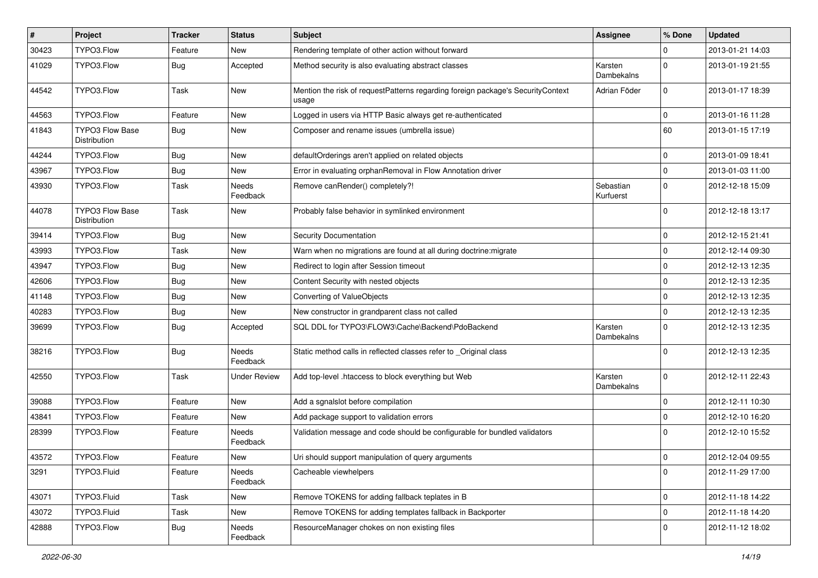| $\pmb{\#}$ | Project                                | <b>Tracker</b> | <b>Status</b>            | <b>Subject</b>                                                                           | <b>Assignee</b>        | % Done      | <b>Updated</b>   |
|------------|----------------------------------------|----------------|--------------------------|------------------------------------------------------------------------------------------|------------------------|-------------|------------------|
| 30423      | TYPO3.Flow                             | Feature        | New                      | Rendering template of other action without forward                                       |                        | 0           | 2013-01-21 14:03 |
| 41029      | TYPO3.Flow                             | Bug            | Accepted                 | Method security is also evaluating abstract classes                                      | Karsten<br>Dambekalns  | $\Omega$    | 2013-01-19 21:55 |
| 44542      | TYPO3.Flow                             | Task           | New                      | Mention the risk of requestPatterns regarding foreign package's SecurityContext<br>usage | Adrian Föder           | $\mathbf 0$ | 2013-01-17 18:39 |
| 44563      | TYPO3.Flow                             | Feature        | New                      | Logged in users via HTTP Basic always get re-authenticated                               |                        | $\mathbf 0$ | 2013-01-16 11:28 |
| 41843      | <b>TYPO3 Flow Base</b><br>Distribution | <b>Bug</b>     | New                      | Composer and rename issues (umbrella issue)                                              |                        | 60          | 2013-01-15 17:19 |
| 44244      | TYPO3.Flow                             | <b>Bug</b>     | New                      | defaultOrderings aren't applied on related objects                                       |                        | 0           | 2013-01-09 18:41 |
| 43967      | TYPO3.Flow                             | <b>Bug</b>     | <b>New</b>               | Error in evaluating orphanRemoval in Flow Annotation driver                              |                        | $\mathbf 0$ | 2013-01-03 11:00 |
| 43930      | TYPO3.Flow                             | Task           | Needs<br>Feedback        | Remove canRender() completely?!                                                          | Sebastian<br>Kurfuerst | 0           | 2012-12-18 15:09 |
| 44078      | TYPO3 Flow Base<br>Distribution        | Task           | <b>New</b>               | Probably false behavior in symlinked environment                                         |                        | 0           | 2012-12-18 13:17 |
| 39414      | TYPO3.Flow                             | <b>Bug</b>     | <b>New</b>               | Security Documentation                                                                   |                        | 0           | 2012-12-15 21:41 |
| 43993      | TYPO3.Flow                             | Task           | <b>New</b>               | Warn when no migrations are found at all during doctrine: migrate                        |                        | $\mathbf 0$ | 2012-12-14 09:30 |
| 43947      | TYPO3.Flow                             | <b>Bug</b>     | New                      | Redirect to login after Session timeout                                                  |                        | 0           | 2012-12-13 12:35 |
| 42606      | TYPO3.Flow                             | <b>Bug</b>     | <b>New</b>               | Content Security with nested objects                                                     |                        | 0           | 2012-12-13 12:35 |
| 41148      | TYPO3.Flow                             | Bug            | New                      | Converting of ValueObjects                                                               |                        | 0           | 2012-12-13 12:35 |
| 40283      | TYPO3.Flow                             | <b>Bug</b>     | New                      | New constructor in grandparent class not called                                          |                        | 0           | 2012-12-13 12:35 |
| 39699      | TYPO3.Flow                             | <b>Bug</b>     | Accepted                 | SQL DDL for TYPO3\FLOW3\Cache\Backend\PdoBackend                                         | Karsten<br>Dambekalns  | $\Omega$    | 2012-12-13 12:35 |
| 38216      | TYPO3.Flow                             | <b>Bug</b>     | <b>Needs</b><br>Feedback | Static method calls in reflected classes refer to _Original class                        |                        | $\Omega$    | 2012-12-13 12:35 |
| 42550      | TYPO3.Flow                             | Task           | Under Review             | Add top-level .htaccess to block everything but Web                                      | Karsten<br>Dambekalns  | 0           | 2012-12-11 22:43 |
| 39088      | TYPO3.Flow                             | Feature        | <b>New</b>               | Add a sgnalslot before compilation                                                       |                        | 0           | 2012-12-11 10:30 |
| 43841      | TYPO3.Flow                             | Feature        | New                      | Add package support to validation errors                                                 |                        | 0           | 2012-12-10 16:20 |
| 28399      | TYPO3.Flow                             | Feature        | <b>Needs</b><br>Feedback | Validation message and code should be configurable for bundled validators                |                        | $\Omega$    | 2012-12-10 15:52 |
| 43572      | TYPO3.Flow                             | Feature        | New                      | Uri should support manipulation of query arguments                                       |                        | $\mathbf 0$ | 2012-12-04 09:55 |
| 3291       | TYPO3.Fluid                            | Feature        | Needs<br>Feedback        | Cacheable viewhelpers                                                                    |                        | 0           | 2012-11-29 17:00 |
| 43071      | TYPO3.Fluid                            | Task           | New                      | Remove TOKENS for adding fallback teplates in B                                          |                        | 0           | 2012-11-18 14:22 |
| 43072      | TYPO3.Fluid                            | Task           | New                      | Remove TOKENS for adding templates fallback in Backporter                                |                        | 0           | 2012-11-18 14:20 |
| 42888      | TYPO3.Flow                             | Bug            | Needs<br>Feedback        | ResourceManager chokes on non existing files                                             |                        | 0           | 2012-11-12 18:02 |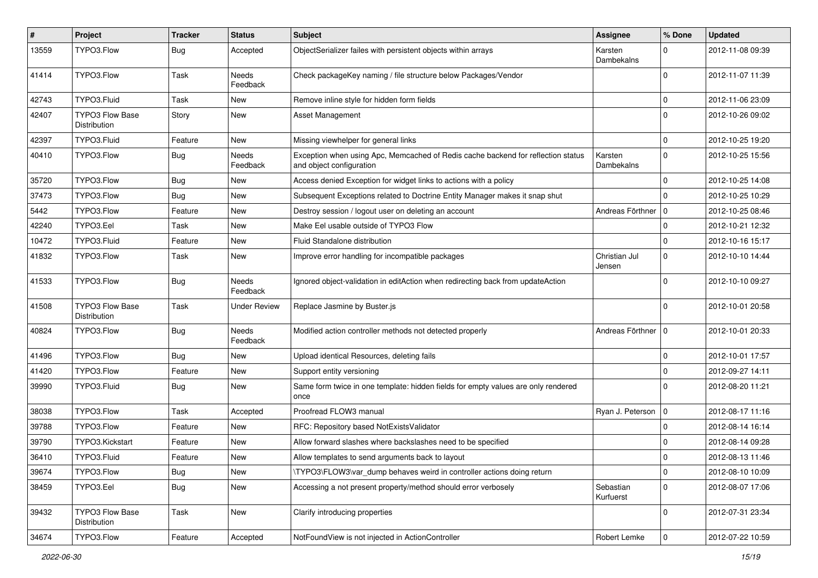| #     | Project                                | <b>Tracker</b> | <b>Status</b>            | <b>Subject</b>                                                                                               | <b>Assignee</b>         | % Done      | <b>Updated</b>   |
|-------|----------------------------------------|----------------|--------------------------|--------------------------------------------------------------------------------------------------------------|-------------------------|-------------|------------------|
| 13559 | TYPO3.Flow                             | <b>Bug</b>     | Accepted                 | ObjectSerializer failes with persistent objects within arrays                                                | Karsten<br>Dambekalns   | $\Omega$    | 2012-11-08 09:39 |
| 41414 | TYPO3.Flow                             | Task           | <b>Needs</b><br>Feedback | Check packageKey naming / file structure below Packages/Vendor                                               |                         | $\Omega$    | 2012-11-07 11:39 |
| 42743 | TYPO3.Fluid                            | Task           | <b>New</b>               | Remove inline style for hidden form fields                                                                   |                         | $\mathbf 0$ | 2012-11-06 23:09 |
| 42407 | <b>TYPO3 Flow Base</b><br>Distribution | Story          | New                      | <b>Asset Management</b>                                                                                      |                         | $\Omega$    | 2012-10-26 09:02 |
| 42397 | TYPO3.Fluid                            | Feature        | New                      | Missing viewhelper for general links                                                                         |                         | $\mathbf 0$ | 2012-10-25 19:20 |
| 40410 | TYPO3.Flow                             | <b>Bug</b>     | Needs<br>Feedback        | Exception when using Apc, Memcached of Redis cache backend for reflection status<br>and object configuration | Karsten<br>Dambekalns   | $\mathbf 0$ | 2012-10-25 15:56 |
| 35720 | TYPO3.Flow                             | <b>Bug</b>     | New                      | Access denied Exception for widget links to actions with a policy                                            |                         | $\mathbf 0$ | 2012-10-25 14:08 |
| 37473 | TYPO3.Flow                             | <b>Bug</b>     | New                      | Subsequent Exceptions related to Doctrine Entity Manager makes it snap shut                                  |                         | $\Omega$    | 2012-10-25 10:29 |
| 5442  | TYPO3.Flow                             | Feature        | <b>New</b>               | Destroy session / logout user on deleting an account                                                         | Andreas Förthner   0    |             | 2012-10-25 08:46 |
| 42240 | TYPO3.Eel                              | Task           | New                      | Make Eel usable outside of TYPO3 Flow                                                                        |                         | $\mathbf 0$ | 2012-10-21 12:32 |
| 10472 | TYPO3.Fluid                            | Feature        | New                      | Fluid Standalone distribution                                                                                |                         | $\mathbf 0$ | 2012-10-16 15:17 |
| 41832 | TYPO3.Flow                             | Task           | New                      | Improve error handling for incompatible packages                                                             | Christian Jul<br>Jensen | $\mathbf 0$ | 2012-10-10 14:44 |
| 41533 | TYPO3.Flow                             | <b>Bug</b>     | <b>Needs</b><br>Feedback | Ignored object-validation in editAction when redirecting back from updateAction                              |                         | $\Omega$    | 2012-10-10 09:27 |
| 41508 | TYPO3 Flow Base<br>Distribution        | Task           | <b>Under Review</b>      | Replace Jasmine by Buster.js                                                                                 |                         | $\Omega$    | 2012-10-01 20:58 |
| 40824 | TYPO3.Flow                             | <b>Bug</b>     | Needs<br>Feedback        | Modified action controller methods not detected properly                                                     | Andreas Förthner        | 0           | 2012-10-01 20:33 |
| 41496 | TYPO3.Flow                             | <b>Bug</b>     | <b>New</b>               | Upload identical Resources, deleting fails                                                                   |                         | $\mathbf 0$ | 2012-10-01 17:57 |
| 41420 | TYPO3.Flow                             | Feature        | New                      | Support entity versioning                                                                                    |                         | $\mathbf 0$ | 2012-09-27 14:11 |
| 39990 | TYPO3.Fluid                            | <b>Bug</b>     | New                      | Same form twice in one template: hidden fields for empty values are only rendered<br>once                    |                         | $\Omega$    | 2012-08-20 11:21 |
| 38038 | TYPO3.Flow                             | Task           | Accepted                 | Proofread FLOW3 manual                                                                                       | Ryan J. Peterson        | $\mathbf 0$ | 2012-08-17 11:16 |
| 39788 | TYPO3.Flow                             | Feature        | New                      | RFC: Repository based NotExistsValidator                                                                     |                         | 0           | 2012-08-14 16:14 |
| 39790 | TYPO3.Kickstart                        | Feature        | New                      | Allow forward slashes where backslashes need to be specified                                                 |                         | $\mathbf 0$ | 2012-08-14 09:28 |
| 36410 | TYPO3.Fluid                            | Feature        | New                      | Allow templates to send arguments back to layout                                                             |                         | 0           | 2012-08-13 11:46 |
| 39674 | TYPO3.Flow                             | Bug            | New                      | \TYPO3\FLOW3\var_dump behaves weird in controller actions doing return                                       |                         | 0           | 2012-08-10 10:09 |
| 38459 | TYPO3.Eel                              | <b>Bug</b>     | New                      | Accessing a not present property/method should error verbosely                                               | Sebastian<br>Kurfuerst  | $\mathbf 0$ | 2012-08-07 17:06 |
| 39432 | <b>TYPO3 Flow Base</b><br>Distribution | Task           | New                      | Clarify introducing properties                                                                               |                         | $\mathbf 0$ | 2012-07-31 23:34 |
| 34674 | TYPO3.Flow                             | Feature        | Accepted                 | NotFoundView is not injected in ActionController                                                             | Robert Lemke            | $\mathbf 0$ | 2012-07-22 10:59 |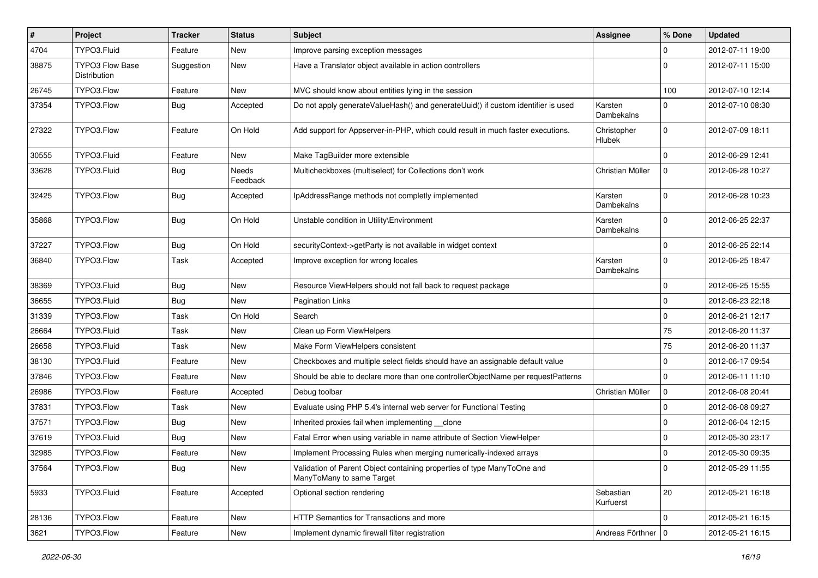| $\pmb{\#}$ | Project                                | <b>Tracker</b> | <b>Status</b>            | <b>Subject</b>                                                                                       | <b>Assignee</b>        | % Done      | <b>Updated</b>   |
|------------|----------------------------------------|----------------|--------------------------|------------------------------------------------------------------------------------------------------|------------------------|-------------|------------------|
| 4704       | TYPO3.Fluid                            | Feature        | <b>New</b>               | Improve parsing exception messages                                                                   |                        | 0           | 2012-07-11 19:00 |
| 38875      | <b>TYPO3 Flow Base</b><br>Distribution | Suggestion     | New                      | Have a Translator object available in action controllers                                             |                        | $\Omega$    | 2012-07-11 15:00 |
| 26745      | TYPO3.Flow                             | Feature        | New                      | MVC should know about entities lying in the session                                                  |                        | 100         | 2012-07-10 12:14 |
| 37354      | TYPO3.Flow                             | Bug            | Accepted                 | Do not apply generateValueHash() and generateUuid() if custom identifier is used                     | Karsten<br>Dambekalns  | 0           | 2012-07-10 08:30 |
| 27322      | TYPO3.Flow                             | Feature        | On Hold                  | Add support for Appserver-in-PHP, which could result in much faster executions.                      | Christopher<br>Hlubek  | $\mathbf 0$ | 2012-07-09 18:11 |
| 30555      | TYPO3.Fluid                            | Feature        | New                      | Make TagBuilder more extensible                                                                      |                        | $\Omega$    | 2012-06-29 12:41 |
| 33628      | TYPO3.Fluid                            | <b>Bug</b>     | <b>Needs</b><br>Feedback | Multicheckboxes (multiselect) for Collections don't work                                             | Christian Müller       | $\mathbf 0$ | 2012-06-28 10:27 |
| 32425      | TYPO3.Flow                             | <b>Bug</b>     | Accepted                 | IpAddressRange methods not completly implemented                                                     | Karsten<br>Dambekalns  | $\Omega$    | 2012-06-28 10:23 |
| 35868      | TYPO3.Flow                             | <b>Bug</b>     | On Hold                  | Unstable condition in Utility\Environment                                                            | Karsten<br>Dambekalns  | $\Omega$    | 2012-06-25 22:37 |
| 37227      | TYPO3.Flow                             | <b>Bug</b>     | On Hold                  | securityContext->getParty is not available in widget context                                         |                        | 0           | 2012-06-25 22:14 |
| 36840      | TYPO3.Flow                             | Task           | Accepted                 | Improve exception for wrong locales                                                                  | Karsten<br>Dambekalns  | 0           | 2012-06-25 18:47 |
| 38369      | TYPO3.Fluid                            | Bug            | New                      | Resource ViewHelpers should not fall back to request package                                         |                        | 0           | 2012-06-25 15:55 |
| 36655      | TYPO3.Fluid                            | Bug            | <b>New</b>               | <b>Pagination Links</b>                                                                              |                        | 0           | 2012-06-23 22:18 |
| 31339      | TYPO3.Flow                             | Task           | On Hold                  | Search                                                                                               |                        | 0           | 2012-06-21 12:17 |
| 26664      | TYPO3.Fluid                            | Task           | New                      | Clean up Form ViewHelpers                                                                            |                        | 75          | 2012-06-20 11:37 |
| 26658      | TYPO3.Fluid                            | Task           | New                      | Make Form ViewHelpers consistent                                                                     |                        | 75          | 2012-06-20 11:37 |
| 38130      | TYPO3.Fluid                            | Feature        | New                      | Checkboxes and multiple select fields should have an assignable default value                        |                        | 0           | 2012-06-17 09:54 |
| 37846      | TYPO3.Flow                             | Feature        | New                      | Should be able to declare more than one controllerObjectName per requestPatterns                     |                        | $\mathbf 0$ | 2012-06-11 11:10 |
| 26986      | TYPO3.Flow                             | Feature        | Accepted                 | Debug toolbar                                                                                        | Christian Müller       | 0           | 2012-06-08 20:41 |
| 37831      | TYPO3.Flow                             | Task           | New                      | Evaluate using PHP 5.4's internal web server for Functional Testing                                  |                        | $\mathbf 0$ | 2012-06-08 09:27 |
| 37571      | TYPO3.Flow                             | Bug            | New                      | Inherited proxies fail when implementing __clone                                                     |                        | 0           | 2012-06-04 12:15 |
| 37619      | TYPO3.Fluid                            | Bug            | New                      | Fatal Error when using variable in name attribute of Section ViewHelper                              |                        | $\mathbf 0$ | 2012-05-30 23:17 |
| 32985      | TYPO3.Flow                             | Feature        | New                      | Implement Processing Rules when merging numerically-indexed arrays                                   |                        | 0           | 2012-05-30 09:35 |
| 37564      | TYPO3.Flow                             | <b>Bug</b>     | New                      | Validation of Parent Object containing properties of type ManyToOne and<br>ManyToMany to same Target |                        | 0           | 2012-05-29 11:55 |
| 5933       | TYPO3.Fluid                            | Feature        | Accepted                 | Optional section rendering                                                                           | Sebastian<br>Kurfuerst | 20          | 2012-05-21 16:18 |
| 28136      | TYPO3.Flow                             | Feature        | New                      | HTTP Semantics for Transactions and more                                                             |                        | $\mathbf 0$ | 2012-05-21 16:15 |
| 3621       | TYPO3.Flow                             | Feature        | New                      | Implement dynamic firewall filter registration                                                       | Andreas Förthner   0   |             | 2012-05-21 16:15 |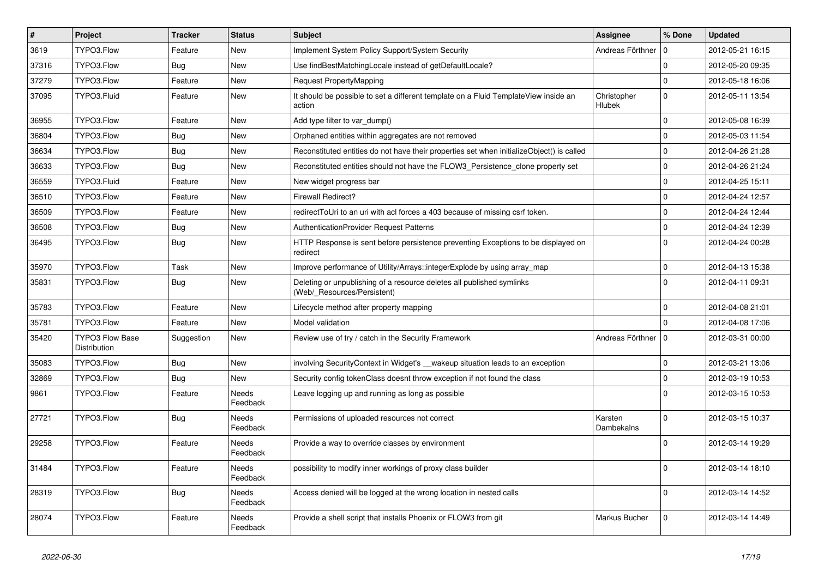| $\vert$ # | Project                                | <b>Tracker</b> | <b>Status</b>            | <b>Subject</b>                                                                                       | <b>Assignee</b>              | % Done      | <b>Updated</b>   |
|-----------|----------------------------------------|----------------|--------------------------|------------------------------------------------------------------------------------------------------|------------------------------|-------------|------------------|
| 3619      | TYPO3.Flow                             | Feature        | <b>New</b>               | Implement System Policy Support/System Security                                                      | Andreas Förthner             | 0           | 2012-05-21 16:15 |
| 37316     | TYPO3.Flow                             | Bug            | <b>New</b>               | Use findBestMatchingLocale instead of getDefaultLocale?                                              |                              | $\Omega$    | 2012-05-20 09:35 |
| 37279     | TYPO3.Flow                             | Feature        | <b>New</b>               | Request PropertyMapping                                                                              |                              | $\mathbf 0$ | 2012-05-18 16:06 |
| 37095     | TYPO3.Fluid                            | Feature        | New                      | It should be possible to set a different template on a Fluid TemplateView inside an<br>action        | Christopher<br><b>Hlubek</b> | $\Omega$    | 2012-05-11 13:54 |
| 36955     | TYPO3.Flow                             | Feature        | <b>New</b>               | Add type filter to var_dump()                                                                        |                              | $\mathbf 0$ | 2012-05-08 16:39 |
| 36804     | TYPO3.Flow                             | Bug            | <b>New</b>               | Orphaned entities within aggregates are not removed                                                  |                              | $\mathbf 0$ | 2012-05-03 11:54 |
| 36634     | TYPO3.Flow                             | <b>Bug</b>     | New                      | Reconstituted entities do not have their properties set when initializeObject() is called            |                              | $\mathbf 0$ | 2012-04-26 21:28 |
| 36633     | TYPO3.Flow                             | <b>Bug</b>     | New                      | Reconstituted entities should not have the FLOW3_Persistence_clone property set                      |                              | $\mathbf 0$ | 2012-04-26 21:24 |
| 36559     | TYPO3.Fluid                            | Feature        | New                      | New widget progress bar                                                                              |                              | $\mathbf 0$ | 2012-04-25 15:11 |
| 36510     | TYPO3.Flow                             | Feature        | New                      | <b>Firewall Redirect?</b>                                                                            |                              | $\Omega$    | 2012-04-24 12:57 |
| 36509     | TYPO3.Flow                             | Feature        | New                      | redirectToUri to an uri with acl forces a 403 because of missing csrf token.                         |                              | $\Omega$    | 2012-04-24 12:44 |
| 36508     | TYPO3.Flow                             | <b>Bug</b>     | <b>New</b>               | <b>AuthenticationProvider Request Patterns</b>                                                       |                              | $\Omega$    | 2012-04-24 12:39 |
| 36495     | TYPO3.Flow                             | <b>Bug</b>     | <b>New</b>               | HTTP Response is sent before persistence preventing Exceptions to be displayed on<br>redirect        |                              | $\Omega$    | 2012-04-24 00:28 |
| 35970     | TYPO3.Flow                             | Task           | New                      | Improve performance of Utility/Arrays::integerExplode by using array_map                             |                              | $\mathbf 0$ | 2012-04-13 15:38 |
| 35831     | TYPO3.Flow                             | Bug            | New                      | Deleting or unpublishing of a resource deletes all published symlinks<br>(Web/ Resources/Persistent) |                              | $\Omega$    | 2012-04-11 09:31 |
| 35783     | TYPO3.Flow                             | Feature        | <b>New</b>               | Lifecycle method after property mapping                                                              |                              | $\mathbf 0$ | 2012-04-08 21:01 |
| 35781     | TYPO3.Flow                             | Feature        | <b>New</b>               | Model validation                                                                                     |                              | $\Omega$    | 2012-04-08 17:06 |
| 35420     | <b>TYPO3 Flow Base</b><br>Distribution | Suggestion     | <b>New</b>               | Review use of try / catch in the Security Framework                                                  | Andreas Förthner             | $\mathbf 0$ | 2012-03-31 00:00 |
| 35083     | TYPO3.Flow                             | <b>Bug</b>     | <b>New</b>               | involving SecurityContext in Widget's __wakeup situation leads to an exception                       |                              | $\Omega$    | 2012-03-21 13:06 |
| 32869     | TYPO3.Flow                             | <b>Bug</b>     | <b>New</b>               | Security config tokenClass doesnt throw exception if not found the class                             |                              | $\Omega$    | 2012-03-19 10:53 |
| 9861      | TYPO3.Flow                             | Feature        | <b>Needs</b><br>Feedback | Leave logging up and running as long as possible                                                     |                              | $\Omega$    | 2012-03-15 10:53 |
| 27721     | TYPO3.Flow                             | Bug            | Needs<br>Feedback        | Permissions of uploaded resources not correct                                                        | Karsten<br>Dambekalns        | $\Omega$    | 2012-03-15 10:37 |
| 29258     | TYPO3.Flow                             | Feature        | Needs<br>Feedback        | Provide a way to override classes by environment                                                     |                              | $\Omega$    | 2012-03-14 19:29 |
| 31484     | TYPO3.Flow                             | Feature        | Needs<br>Feedback        | possibility to modify inner workings of proxy class builder                                          |                              | $\Omega$    | 2012-03-14 18:10 |
| 28319     | TYPO3.Flow                             | <b>Bug</b>     | Needs<br>Feedback        | Access denied will be logged at the wrong location in nested calls                                   |                              | $\Omega$    | 2012-03-14 14:52 |
| 28074     | TYPO3.Flow                             | Feature        | <b>Needs</b><br>Feedback | Provide a shell script that installs Phoenix or FLOW3 from git                                       | Markus Bucher                | $\Omega$    | 2012-03-14 14:49 |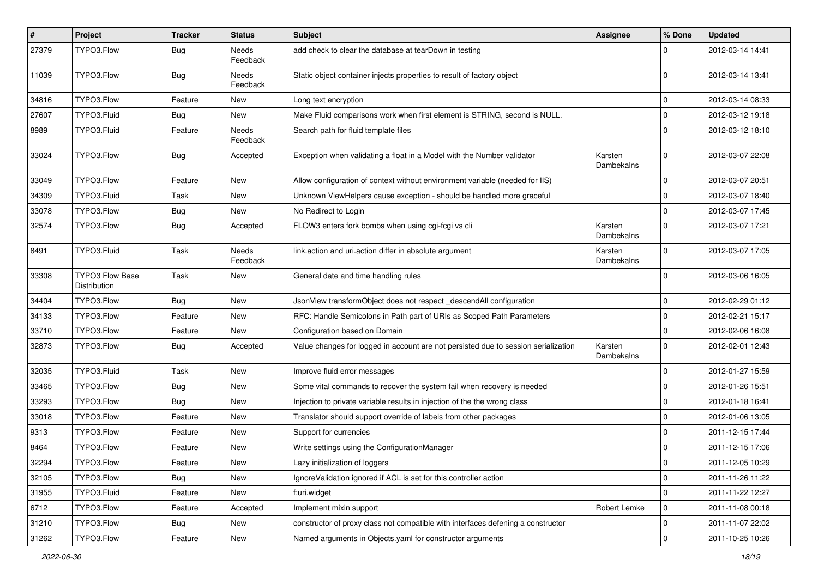| #     | Project                                | <b>Tracker</b> | <b>Status</b>            | <b>Subject</b>                                                                     | Assignee              | % Done      | <b>Updated</b>   |
|-------|----------------------------------------|----------------|--------------------------|------------------------------------------------------------------------------------|-----------------------|-------------|------------------|
| 27379 | TYPO3.Flow                             | <b>Bug</b>     | Needs<br>Feedback        | add check to clear the database at tearDown in testing                             |                       |             | 2012-03-14 14:41 |
| 11039 | TYPO3.Flow                             | <b>Bug</b>     | Needs<br>Feedback        | Static object container injects properties to result of factory object             |                       | $\Omega$    | 2012-03-14 13:41 |
| 34816 | TYPO3.Flow                             | Feature        | New                      | Long text encryption                                                               |                       | $\mathbf 0$ | 2012-03-14 08:33 |
| 27607 | TYPO3.Fluid                            | Bug            | New                      | Make Fluid comparisons work when first element is STRING, second is NULL.          |                       | $\mathbf 0$ | 2012-03-12 19:18 |
| 8989  | TYPO3.Fluid                            | Feature        | <b>Needs</b><br>Feedback | Search path for fluid template files                                               |                       | $\Omega$    | 2012-03-12 18:10 |
| 33024 | TYPO3.Flow                             | <b>Bug</b>     | Accepted                 | Exception when validating a float in a Model with the Number validator             | Karsten<br>Dambekalns | $\Omega$    | 2012-03-07 22:08 |
| 33049 | TYPO3.Flow                             | Feature        | New                      | Allow configuration of context without environment variable (needed for IIS)       |                       | $\mathbf 0$ | 2012-03-07 20:51 |
| 34309 | TYPO3.Fluid                            | Task           | New                      | Unknown ViewHelpers cause exception - should be handled more graceful              |                       | $\mathbf 0$ | 2012-03-07 18:40 |
| 33078 | TYPO3.Flow                             | <b>Bug</b>     | New                      | No Redirect to Login                                                               |                       | $\Omega$    | 2012-03-07 17:45 |
| 32574 | TYPO3.Flow                             | <b>Bug</b>     | Accepted                 | FLOW3 enters fork bombs when using cgi-fcgi vs cli                                 | Karsten<br>Dambekalns | $\Omega$    | 2012-03-07 17:21 |
| 8491  | TYPO3.Fluid                            | Task           | Needs<br>Feedback        | link.action and uri.action differ in absolute argument                             | Karsten<br>Dambekalns | $\Omega$    | 2012-03-07 17:05 |
| 33308 | <b>TYPO3 Flow Base</b><br>Distribution | Task           | New                      | General date and time handling rules                                               |                       | $\Omega$    | 2012-03-06 16:05 |
| 34404 | TYPO3.Flow                             | <b>Bug</b>     | New                      | JsonView transformObject does not respect _descendAll configuration                |                       | $\mathbf 0$ | 2012-02-29 01:12 |
| 34133 | TYPO3.Flow                             | Feature        | New                      | RFC: Handle Semicolons in Path part of URIs as Scoped Path Parameters              |                       | 0           | 2012-02-21 15:17 |
| 33710 | TYPO3.Flow                             | Feature        | New                      | Configuration based on Domain                                                      |                       | $\mathbf 0$ | 2012-02-06 16:08 |
| 32873 | TYPO3.Flow                             | Bug            | Accepted                 | Value changes for logged in account are not persisted due to session serialization | Karsten<br>Dambekalns | $\Omega$    | 2012-02-01 12:43 |
| 32035 | TYPO3.Fluid                            | Task           | New                      | Improve fluid error messages                                                       |                       | $\Omega$    | 2012-01-27 15:59 |
| 33465 | TYPO3.Flow                             | Bug            | New                      | Some vital commands to recover the system fail when recovery is needed             |                       | $\mathbf 0$ | 2012-01-26 15:51 |
| 33293 | TYPO3.Flow                             | <b>Bug</b>     | New                      | Injection to private variable results in injection of the the wrong class          |                       | $\mathbf 0$ | 2012-01-18 16:41 |
| 33018 | TYPO3.Flow                             | Feature        | New                      | Translator should support override of labels from other packages                   |                       | $\mathbf 0$ | 2012-01-06 13:05 |
| 9313  | TYPO3.Flow                             | Feature        | New                      | Support for currencies                                                             |                       | $\Omega$    | 2011-12-15 17:44 |
| 8464  | TYPO3.Flow                             | Feature        | New                      | Write settings using the ConfigurationManager                                      |                       | $\mathbf 0$ | 2011-12-15 17:06 |
| 32294 | TYPO3.Flow                             | Feature        | New                      | Lazy initialization of loggers                                                     |                       |             | 2011-12-05 10:29 |
| 32105 | TYPO3.Flow                             | <b>Bug</b>     | New                      | Ignore Validation ignored if ACL is set for this controller action                 |                       | $\mathbf 0$ | 2011-11-26 11:22 |
| 31955 | TYPO3.Fluid                            | Feature        | New                      | f:uri.widget                                                                       |                       | $\mathbf 0$ | 2011-11-22 12:27 |
| 6712  | TYPO3.Flow                             | Feature        | Accepted                 | Implement mixin support                                                            | Robert Lemke          | 0           | 2011-11-08 00:18 |
| 31210 | TYPO3.Flow                             | Bug            | New                      | constructor of proxy class not compatible with interfaces defening a constructor   |                       | 0           | 2011-11-07 22:02 |
| 31262 | TYPO3.Flow                             | Feature        | New                      | Named arguments in Objects.yaml for constructor arguments                          |                       | $\pmb{0}$   | 2011-10-25 10:26 |